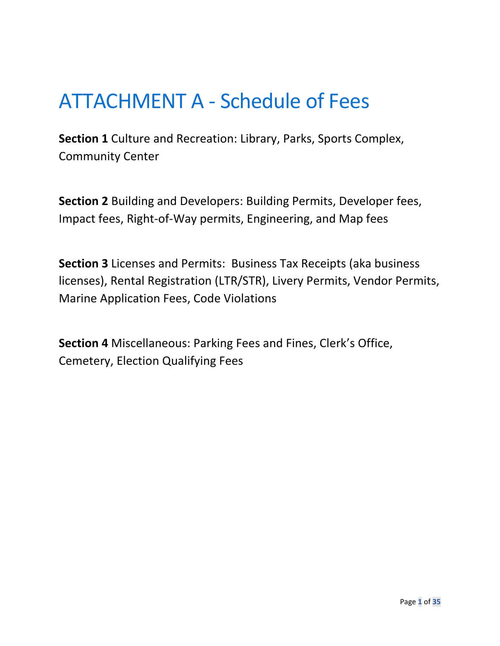# ATTACHMENT A - Schedule of Fees

**Section 1** Culture and Recreation: Library, Parks, Sports Complex, Community Center

**Section 2** Building and Developers: Building Permits, Developer fees, Impact fees, Right-of-Way permits, Engineering, and Map fees

**Section 3** Licenses and Permits: Business Tax Receipts (aka business licenses), Rental Registration (LTR/STR), Livery Permits, Vendor Permits, Marine Application Fees, Code Violations

**Section 4** Miscellaneous: Parking Fees and Fines, Clerk's Office, Cemetery, Election Qualifying Fees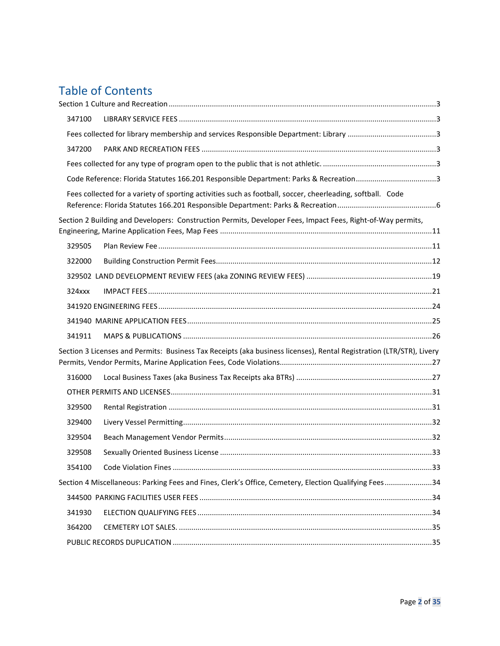## Table of Contents

| 347100    |                                                                                                                      |  |
|-----------|----------------------------------------------------------------------------------------------------------------------|--|
|           |                                                                                                                      |  |
| 347200    |                                                                                                                      |  |
|           |                                                                                                                      |  |
|           | Code Reference: Florida Statutes 166.201 Responsible Department: Parks & Recreation3                                 |  |
|           | Fees collected for a variety of sporting activities such as football, soccer, cheerleading, softball. Code           |  |
|           | Section 2 Building and Developers: Construction Permits, Developer Fees, Impact Fees, Right-of-Way permits,          |  |
| 329505    |                                                                                                                      |  |
| 322000    |                                                                                                                      |  |
|           |                                                                                                                      |  |
| $324$ xxx |                                                                                                                      |  |
|           |                                                                                                                      |  |
|           |                                                                                                                      |  |
| 341911    |                                                                                                                      |  |
|           | Section 3 Licenses and Permits: Business Tax Receipts (aka business licenses), Rental Registration (LTR/STR), Livery |  |
| 316000    |                                                                                                                      |  |
|           |                                                                                                                      |  |
| 329500    |                                                                                                                      |  |
| 329400    |                                                                                                                      |  |
| 329504    |                                                                                                                      |  |
| 329508    |                                                                                                                      |  |
| 354100    |                                                                                                                      |  |
|           | Section 4 Miscellaneous: Parking Fees and Fines, Clerk's Office, Cemetery, Election Qualifying Fees34                |  |
|           |                                                                                                                      |  |
| 341930    |                                                                                                                      |  |
| 364200    |                                                                                                                      |  |
|           |                                                                                                                      |  |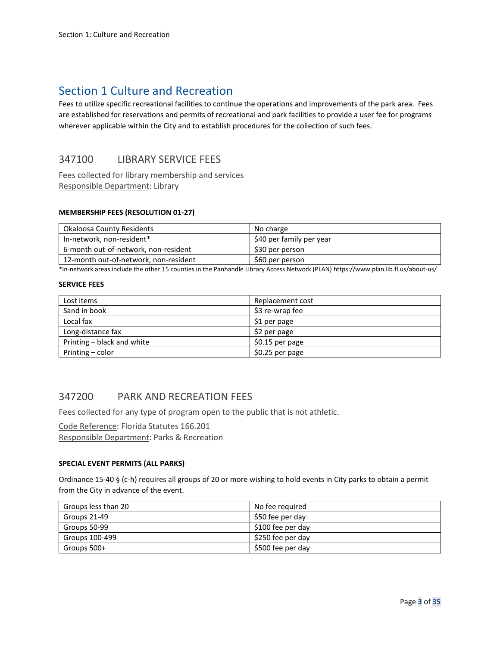## <span id="page-2-0"></span>Section 1 Culture and Recreation

Fees to utilize specific recreational facilities to continue the operations and improvements of the park area. Fees are established for reservations and permits of recreational and park facilities to provide a user fee for programs wherever applicable within the City and to establish procedures for the collection of such fees.

## <span id="page-2-1"></span>347100 LIBRARY SERVICE FEES

<span id="page-2-2"></span>Fees collected for library membership and services Responsible Department: Library

#### **MEMBERSHIP FEES (RESOLUTION 01-27)**

| Okaloosa County Residents             | No charge                |
|---------------------------------------|--------------------------|
| In-network, non-resident*             | \$40 per family per year |
| 6-month out-of-network, non-resident  | \$30 per person          |
| 12-month out-of-network, non-resident | \$60 per person          |

\*In-network areas include the other 15 counties in the Panhandle Library Access Network (PLAN) https://www.plan.lib.fl.us/about-us/

#### **SERVICE FEES**

| Lost items                 | Replacement cost |
|----------------------------|------------------|
| Sand in book               | \$3 re-wrap fee  |
| Local fax                  | \$1 per page     |
| Long-distance fax          | \$2 per page     |
| Printing - black and white | \$0.15 per page  |
| Printing – color           | \$0.25 per page  |

## <span id="page-2-3"></span>347200 PARK AND RECREATION FEES

<span id="page-2-4"></span>Fees collected for any type of program open to the public that is not athletic.

<span id="page-2-5"></span>Code Reference: Florida Statutes 166.201 Responsible Department: Parks & Recreation

#### **SPECIAL EVENT PERMITS (ALL PARKS)**

Ordinance 15-40 § (c-h) requires all groups of 20 or more wishing to hold events in City parks to obtain a permit from the City in advance of the event.

| Groups less than 20 | No fee reguired   |
|---------------------|-------------------|
| Groups 21-49        | \$50 fee per day  |
| Groups 50-99        | \$100 fee per day |
| Groups 100-499      | \$250 fee per day |
| Groups 500+         | \$500 fee per day |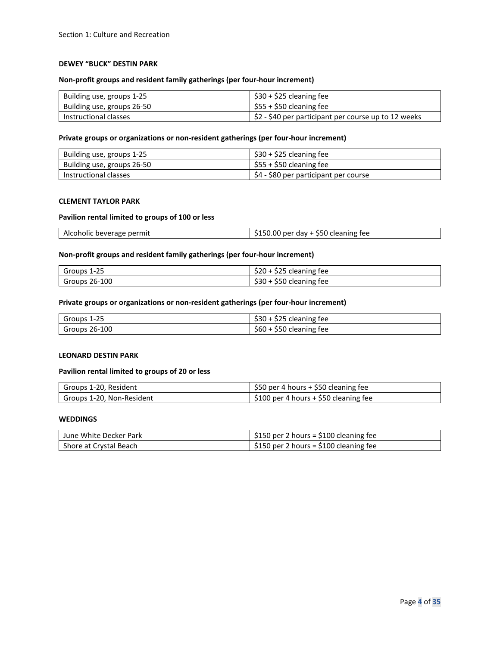#### **DEWEY "BUCK" DESTIN PARK**

#### **Non-profit groups and resident family gatherings (per four-hour increment)**

| Building use, groups 1-25  | $$30 + $25$ cleaning fee                                           |
|----------------------------|--------------------------------------------------------------------|
| Building use, groups 26-50 | $\frac{1}{2}$ \$55 + \$50 cleaning fee                             |
| Instructional classes      | $\frac{1}{2}$ \$2 - \$40 per participant per course up to 12 weeks |

#### **Private groups or organizations or non-resident gatherings (per four-hour increment)**

| Building use, groups 1-25  | $\frac{1}{2}$ \$30 + \$25 cleaning fee |
|----------------------------|----------------------------------------|
| Building use, groups 26-50 | $\mid$ \$55 + \$50 cleaning fee        |
| Instructional classes      | \$4 - \$80 per participant per course  |

#### **CLEMENT TAYLOR PARK**

#### **Pavilion rental limited to groups of 100 or less**

| 1. V.V<br>יר | AIC<br>coholic beverage permit | ) per day + \$50 cleaning fee |
|--------------|--------------------------------|-------------------------------|
|--------------|--------------------------------|-------------------------------|

#### **Non-profit groups and resident family gatherings (per four-hour increment)**

| $1 - 25$<br>Groups | $A \cap F$<br>\$25 cleaning fee<br>szu |
|--------------------|----------------------------------------|
| , 26-100<br>Groups | .<br>\$50 cleaning fee<br>ววบ          |

#### **Private groups or organizations or non-resident gatherings (per four-hour increment)**

| Groups 1-25          | <br>$\sim$<br>\$25 cleaning fee<br>১১০    |
|----------------------|-------------------------------------------|
| <b>Groups 26-100</b> | $\sim$ $\sim$<br>\$50 cleaning fee<br>১৮০ |

#### **LEONARD DESTIN PARK**

#### **Pavilion rental limited to groups of 20 or less**

| Groups 1-20, Resident     | \$50 per 4 hours + \$50 cleaning fee   |
|---------------------------|----------------------------------------|
| Groups 1-20, Non-Resident | $$100$ per 4 hours + \$50 cleaning fee |

#### **WEDDINGS**

| I June White Decker Park | $\frac{1}{2}$ \$150 per 2 hours = \$100 cleaning fee |
|--------------------------|------------------------------------------------------|
| Shore at Crystal Beach   | $\frac{1}{2}$ \$150 per 2 hours = \$100 cleaning fee |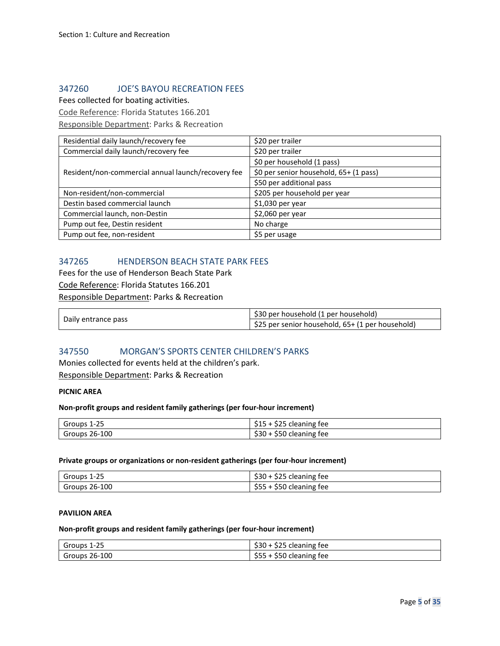## 347260 JOE'S BAYOU RECREATION FEES

Fees collected for boating activities.

Code Reference: Florida Statutes 166.201

Responsible Department: Parks & Recreation

| Residential daily launch/recovery fee              | \$20 per trailer                       |
|----------------------------------------------------|----------------------------------------|
| Commercial daily launch/recovery fee               | \$20 per trailer                       |
|                                                    | \$0 per household (1 pass)             |
| Resident/non-commercial annual launch/recovery fee | \$0 per senior household, 65+ (1 pass) |
|                                                    | \$50 per additional pass               |
| Non-resident/non-commercial                        | \$205 per household per year           |
| Destin based commercial launch                     | \$1,030 per year                       |
| Commercial launch, non-Destin                      | \$2,060 per year                       |
| Pump out fee, Destin resident                      | No charge                              |
| Pump out fee, non-resident                         | \$5 per usage                          |

## 347265 HENDERSON BEACH STATE PARK FEES

Fees for the use of Henderson Beach State Park Code Reference: Florida Statutes 166.201 Responsible Department: Parks & Recreation

| Daily entrance pass | \$30 per household (1 per household)             |
|---------------------|--------------------------------------------------|
|                     | \$25 per senior household, 65+ (1 per household) |

## 347550 MORGAN'S SPORTS CENTER CHILDREN'S PARKS

Monies collected for events held at the children's park. Responsible Department: Parks & Recreation

#### **PICNIC AREA**

#### **Non-profit groups and resident family gatherings (per four-hour increment)**

| Groups 1-25   | $\mathcal{L} \cap \mathcal{L}$<br>61 F<br>\$25 cleaning fee<br>ددڊ |
|---------------|--------------------------------------------------------------------|
| Groups 26-100 | \$30<br>$\sim$ $\sim$<br>\$50 cleaning fee                         |

#### **Private groups or organizations or non-resident gatherings (per four-hour increment)**

| Groups 1-25   | <b>Anr</b><br>\$30<br>) + \$25 cleaning fee |
|---------------|---------------------------------------------|
| Groups 26-100 | \$55<br>\$50 cleaning fee<br>$\overline{ }$ |

#### **PAVILION AREA**

### **Non-profit groups and resident family gatherings (per four-hour increment)**

| Groups 1-25              | \$25 cleaning fee<br>SSU                                |
|--------------------------|---------------------------------------------------------|
| $\sqrt{5}$ Groups 26-100 | $\sim$ $-$<br>$\sim$ $\sim$<br>\$50 cleaning fee<br>555 |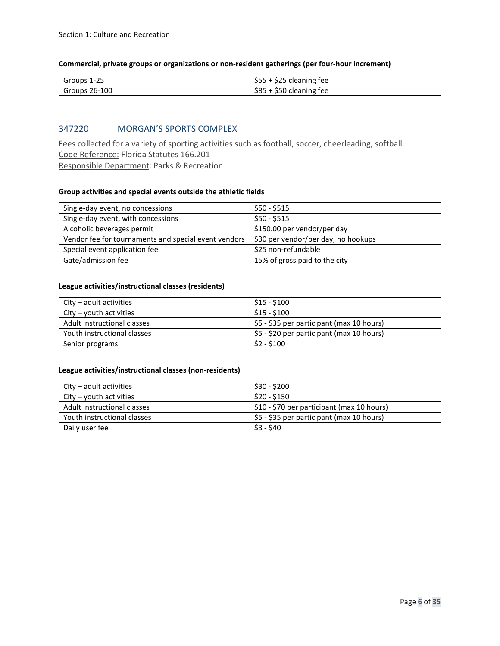#### **Commercial, private groups or organizations or non-resident gatherings (per four-hour increment)**

| $\sim$ $-$<br>Groups<br>1-45 | ---<br>$\cdots$<br>cleaning fee<br>ر ر ب<br>ーー     |
|------------------------------|----------------------------------------------------|
| 26-100<br>Groups             | $\sim$ $\sim$<br>.<br>' cleaning fee<br>ວ໐ວ<br>ววบ |

### 347220 MORGAN'S SPORTS COMPLEX

<span id="page-5-0"></span>Fees collected for a variety of sporting activities such as football, soccer, cheerleading, softball. Code Reference: Florida Statutes 166.201 Responsible Department: Parks & Recreation

#### **Group activities and special events outside the athletic fields**

| Single-day event, no concessions                     | \$50 - \$515                        |
|------------------------------------------------------|-------------------------------------|
| Single-day event, with concessions                   | $$50 - $515$                        |
| Alcoholic beverages permit                           | \$150.00 per vendor/per day         |
| Vendor fee for tournaments and special event vendors | \$30 per vendor/per day, no hookups |
| Special event application fee                        | \$25 non-refundable                 |
| Gate/admission fee                                   | 15% of gross paid to the city       |

#### **League activities/instructional classes (residents)**

| $City - adult$ activities   | \$15 - \$100                              |
|-----------------------------|-------------------------------------------|
| $City - youth$ activities   | \$15 - \$100                              |
| Adult instructional classes | \$5 - \$35 per participant (max 10 hours) |
| Youth instructional classes | \$5 - \$20 per participant (max 10 hours) |
| Senior programs             | $$2 - $100$                               |

#### **League activities/instructional classes (non-residents)**

| City – adult activities     | \$30 - \$200                               |
|-----------------------------|--------------------------------------------|
| $City - youth$ activities   | \$20 - \$150                               |
| Adult instructional classes | \$10 - \$70 per participant (max 10 hours) |
| Youth instructional classes | \$5 - \$35 per participant (max 10 hours)  |
| Daily user fee              | \$3 - \$40                                 |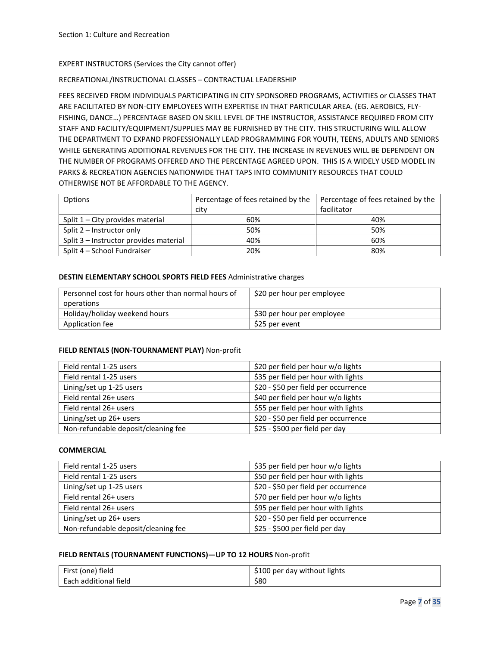#### EXPERT INSTRUCTORS (Services the City cannot offer)

#### RECREATIONAL/INSTRUCTIONAL CLASSES – CONTRACTUAL LEADERSHIP

FEES RECEIVED FROM INDIVIDUALS PARTICIPATING IN CITY SPONSORED PROGRAMS, ACTIVITIES or CLASSES THAT ARE FACILITATED BY NON-CITY EMPLOYEES WITH EXPERTISE IN THAT PARTICULAR AREA. (EG. AEROBICS, FLY-FISHING, DANCE…) PERCENTAGE BASED ON SKILL LEVEL OF THE INSTRUCTOR, ASSISTANCE REQUIRED FROM CITY STAFF AND FACILITY/EQUIPMENT/SUPPLIES MAY BE FURNISHED BY THE CITY. THIS STRUCTURING WILL ALLOW THE DEPARTMENT TO EXPAND PROFESSIONALLY LEAD PROGRAMMING FOR YOUTH, TEENS, ADULTS AND SENIORS WHILE GENERATING ADDITIONAL REVENUES FOR THE CITY. THE INCREASE IN REVENUES WILL BE DEPENDENT ON THE NUMBER OF PROGRAMS OFFERED AND THE PERCENTAGE AGREED UPON. THIS IS A WIDELY USED MODEL IN PARKS & RECREATION AGENCIES NATIONWIDE THAT TAPS INTO COMMUNITY RESOURCES THAT COULD OTHERWISE NOT BE AFFORDABLE TO THE AGENCY.

| Options                                | Percentage of fees retained by the | Percentage of fees retained by the |
|----------------------------------------|------------------------------------|------------------------------------|
|                                        | city                               | facilitator                        |
| Split $1 -$ City provides material     | 60%                                | 40%                                |
| Split $2$ – Instructor only            | 50%                                | 50%                                |
| Split 3 - Instructor provides material | 40%                                | 60%                                |
| Split 4 - School Fundraiser            | 20%                                | 80%                                |

#### **DESTIN ELEMENTARY SCHOOL SPORTS FIELD FEES** Administrative charges

| Personnel cost for hours other than normal hours of | \$20 per hour per employee |
|-----------------------------------------------------|----------------------------|
| operations                                          |                            |
| Holiday/holiday weekend hours                       | \$30 per hour per employee |
| Application fee                                     | \$25 per event             |

#### **FIELD RENTALS (NON-TOURNAMENT PLAY)** Non-profit

| Field rental 1-25 users             | \$20 per field per hour w/o lights   |
|-------------------------------------|--------------------------------------|
| Field rental 1-25 users             | \$35 per field per hour with lights  |
| Lining/set up 1-25 users            | \$20 - \$50 per field per occurrence |
| Field rental 26+ users              | \$40 per field per hour w/o lights   |
| Field rental 26+ users              | \$55 per field per hour with lights  |
| Lining/set up 26+ users             | \$20 - \$50 per field per occurrence |
| Non-refundable deposit/cleaning fee | \$25 - \$500 per field per day       |

#### **COMMERCIAL**

| Field rental 1-25 users             | \$35 per field per hour w/o lights   |
|-------------------------------------|--------------------------------------|
| Field rental 1-25 users             | \$50 per field per hour with lights  |
| Lining/set up 1-25 users            | \$20 - \$50 per field per occurrence |
| Field rental 26+ users              | \$70 per field per hour w/o lights   |
| Field rental 26+ users              | \$95 per field per hour with lights  |
| Lining/set up 26+ users             | \$20 - \$50 per field per occurrence |
| Non-refundable deposit/cleaning fee | \$25 - \$500 per field per day       |

#### **FIELD RENTALS (TOURNAMENT FUNCTIONS)—UP TO 12 HOURS** Non-profit

| I field                              | 100ء           |
|--------------------------------------|----------------|
| Eirct.                               | without lights |
| (one)                                | J per          |
| FIISL                                | dav            |
| $\cdots$<br>field<br>Each additional | \$80           |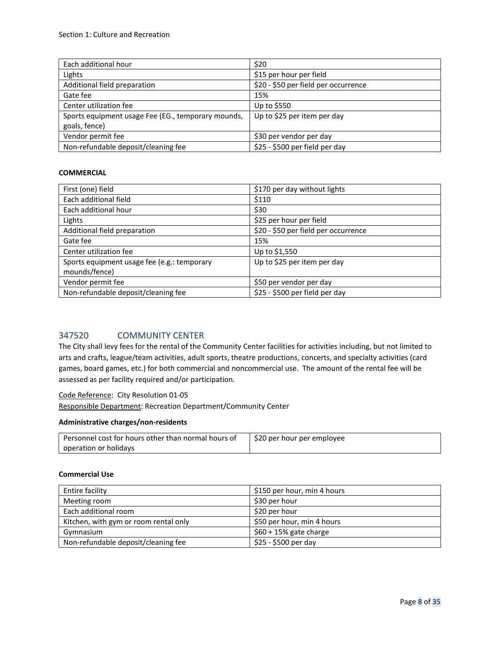| Each additional hour                               | \$20                                 |
|----------------------------------------------------|--------------------------------------|
| Lights                                             | \$15 per hour per field              |
| Additional field preparation                       | \$20 - \$50 per field per occurrence |
| Gate fee                                           | 15%                                  |
| Center utilization fee                             | Up to \$550                          |
| Sports equipment usage Fee (EG., temporary mounds, | Up to \$25 per item per day          |
| goals, fence)                                      |                                      |
| Vendor permit fee                                  | \$30 per vendor per day              |
| Non-refundable deposit/cleaning fee                | \$25 - \$500 per field per day       |

#### **COMMERCIAL**

| First (one) field                                            | \$170 per day without lights         |
|--------------------------------------------------------------|--------------------------------------|
| Each additional field                                        | \$110                                |
| Each additional hour                                         | \$30                                 |
| Lights                                                       | \$25 per hour per field              |
| Additional field preparation                                 | \$20 - \$50 per field per occurrence |
| Gate fee                                                     | 15%                                  |
| Center utilization fee                                       | Up to \$1,550                        |
| Sports equipment usage fee (e.g.: temporary<br>mounds/fence) | Up to \$25 per item per day          |
| Vendor permit fee                                            | \$50 per vendor per day              |
| Non-refundable deposit/cleaning fee                          | \$25 - \$500 per field per day       |

## 347520 COMMUNITY CENTER

The City shall levy fees for the rental of the Community Center facilities for activities including, but not limited to arts and crafts, league/team activities, adult sports, theatre productions, concerts, and specialty activities (card games, board games, etc.) for both commercial and noncommercial use. The amount of the rental fee will be assessed as per facility required and/or participation.

#### Code Reference: City Resolution 01-05

Responsible Department: Recreation Department/Community Center

#### **Administrative charges/non-residents**

| Personnel cost for hours other than normal hours of | \$20 per hour per employee |
|-----------------------------------------------------|----------------------------|
| operation or holidays                               |                            |

#### **Commercial Use**

| Entire facility                       | \$150 per hour, min 4 hours |
|---------------------------------------|-----------------------------|
| Meeting room                          | \$30 per hour               |
| Each additional room                  | \$20 per hour               |
| Kitchen, with gym or room rental only | \$50 per hour, min 4 hours  |
| Gymnasium                             | $$60 + 15\%$ gate charge    |
| Non-refundable deposit/cleaning fee   | \$25 - \$500 per day        |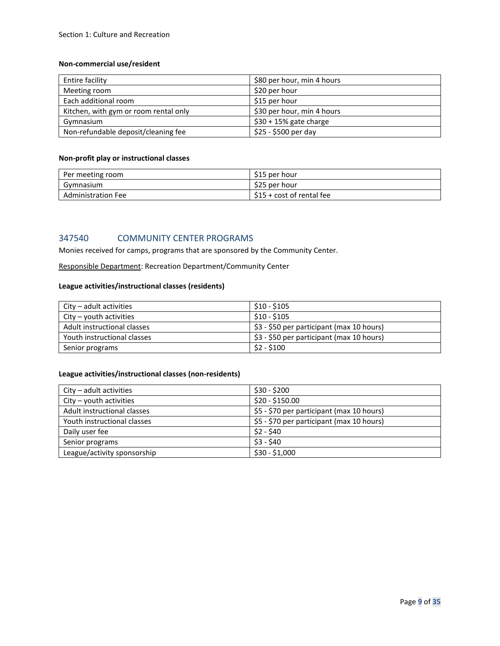#### **Non-commercial use/resident**

| Entire facility                       | \$80 per hour, min 4 hours |
|---------------------------------------|----------------------------|
| Meeting room                          | \$20 per hour              |
| Each additional room                  | \$15 per hour              |
| Kitchen, with gym or room rental only | \$30 per hour, min 4 hours |
| Gymnasium                             | $$30 + 15\%$ gate charge   |
| Non-refundable deposit/cleaning fee   | \$25 - \$500 per day       |

#### **Non-profit play or instructional classes**

| Per meeting room          | \$15 per hour             |
|---------------------------|---------------------------|
| Gymnasium                 | \$25 per hour             |
| <b>Administration Fee</b> | \$15 + cost of rental fee |

## 347540 COMMUNITY CENTER PROGRAMS

Monies received for camps, programs that are sponsored by the Community Center.

Responsible Department: Recreation Department/Community Center

#### **League activities/instructional classes (residents)**

| $City - adult$ activities   | \$10 - \$105                              |
|-----------------------------|-------------------------------------------|
| $City - youth$ activities   | $$10 - $105$                              |
| Adult instructional classes | \$3 - \$50 per participant (max 10 hours) |
| Youth instructional classes | \$3 - \$50 per participant (max 10 hours) |
| Senior programs             | \$2 - \$100                               |

## **League activities/instructional classes (non-residents)**

| $City - adult$ activities   | $$30 - $200$                              |
|-----------------------------|-------------------------------------------|
| $City - youth$ activities   | $$20 - $150.00$                           |
| Adult instructional classes | \$5 - \$70 per participant (max 10 hours) |
| Youth instructional classes | \$5 - \$70 per participant (max 10 hours) |
| Daily user fee              | $$2 - $40$                                |
| Senior programs             | $$3 - $40$                                |
| League/activity sponsorship | \$30 - \$1,000                            |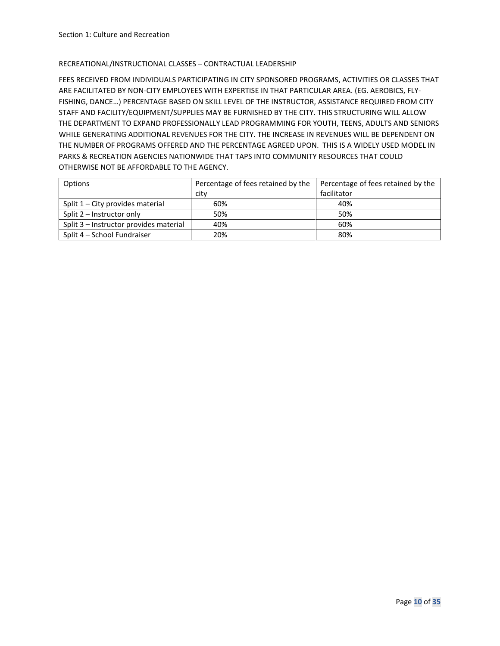#### RECREATIONAL/INSTRUCTIONAL CLASSES – CONTRACTUAL LEADERSHIP

FEES RECEIVED FROM INDIVIDUALS PARTICIPATING IN CITY SPONSORED PROGRAMS, ACTIVITIES OR CLASSES THAT ARE FACILITATED BY NON-CITY EMPLOYEES WITH EXPERTISE IN THAT PARTICULAR AREA. (EG. AEROBICS, FLY-FISHING, DANCE…) PERCENTAGE BASED ON SKILL LEVEL OF THE INSTRUCTOR, ASSISTANCE REQUIRED FROM CITY STAFF AND FACILITY/EQUIPMENT/SUPPLIES MAY BE FURNISHED BY THE CITY. THIS STRUCTURING WILL ALLOW THE DEPARTMENT TO EXPAND PROFESSIONALLY LEAD PROGRAMMING FOR YOUTH, TEENS, ADULTS AND SENIORS WHILE GENERATING ADDITIONAL REVENUES FOR THE CITY. THE INCREASE IN REVENUES WILL BE DEPENDENT ON THE NUMBER OF PROGRAMS OFFERED AND THE PERCENTAGE AGREED UPON. THIS IS A WIDELY USED MODEL IN PARKS & RECREATION AGENCIES NATIONWIDE THAT TAPS INTO COMMUNITY RESOURCES THAT COULD OTHERWISE NOT BE AFFORDABLE TO THE AGENCY.

| Options                                | Percentage of fees retained by the | Percentage of fees retained by the |
|----------------------------------------|------------------------------------|------------------------------------|
|                                        | city                               | facilitator                        |
| Split $1 -$ City provides material     | 60%                                | 40%                                |
| Split $2$ – Instructor only            | 50%                                | 50%                                |
| Split 3 - Instructor provides material | 40%                                | 60%                                |
| Split 4 - School Fundraiser            | 20%                                | 80%                                |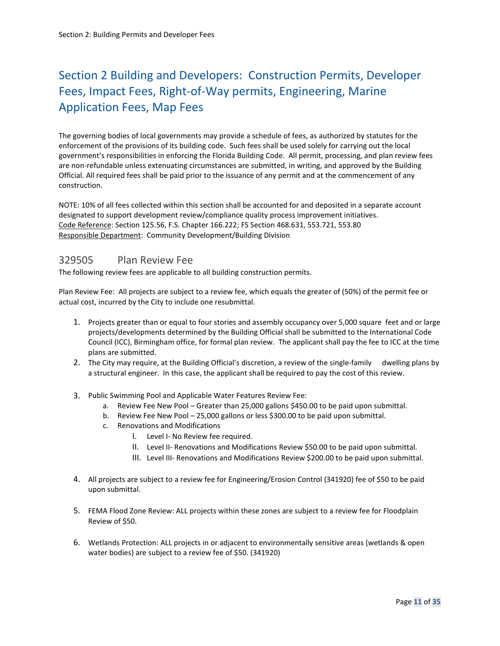## <span id="page-10-0"></span>Section 2 Building and Developers: Construction Permits, Developer Fees, Impact Fees, Right-of-Way permits, Engineering, Marine Application Fees, Map Fees

The governing bodies of local governments may provide a schedule of fees, as authorized by statutes for the enforcement of the provisions of its building code. Such fees shall be used solely for carrying out the local government's responsibilities in enforcing the Florida Building Code. All permit, processing, and plan review fees are non-refundable unless extenuating circumstances are submitted, in writing, and approved by the Building Official. All required fees shall be paid prior to the issuance of any permit and at the commencement of any construction.

NOTE: 10% of all fees collected within this section shall be accounted for and deposited in a separate account designated to support development review/compliance quality process improvement initiatives. Code Reference: Section 125.56, F.S. Chapter 166.222; FS Section 468.631, 553.721, 553.80 Responsible Department: Community Development/Building Division

## <span id="page-10-1"></span>329505 Plan Review Fee

The following review fees are applicable to all building construction permits.

Plan Review Fee: All projects are subject to a review fee, which equals the greater of (50%) of the permit fee or actual cost, incurred by the City to include one resubmittal.

- 1. Projects greater than or equal to four stories and assembly occupancy over 5,000 square feet and or large projects/developments determined by the Building Official shall be submitted to the International Code Council (ICC), Birmingham office, for formal plan review. The applicant shall pay the fee to ICC at the time plans are submitted.
- 2. The City may require, at the Building Official's discretion, a review of the single-family dwelling plans by a structural engineer. In this case, the applicant shall be required to pay the cost of this review.
- 3. Public Swimming Pool and Applicable Water Features Review Fee:
	- a. Review Fee New Pool Greater than 25,000 gallons \$450.00 to be paid upon submittal.
	- b. Review Fee New Pool 25,000 gallons or less \$300.00 to be paid upon submittal.
	- c. Renovations and Modifications
		- I. Level I- No Review fee required.
		- II. Level II- Renovations and Modifications Review \$50.00 to be paid upon submittal.
		- III. Level III- Renovations and Modifications Review \$200.00 to be paid upon submittal.
- 4. All projects are subject to a review fee for Engineering/Erosion Control (341920) fee of \$50 to be paid upon submittal.
- 5. FEMA Flood Zone Review: ALL projects within these zones are subject to a review fee for Floodplain Review of \$50.
- 6. Wetlands Protection: ALL projects in or adjacent to environmentally sensitive areas (wetlands & open water bodies) are subject to a review fee of \$50. (341920)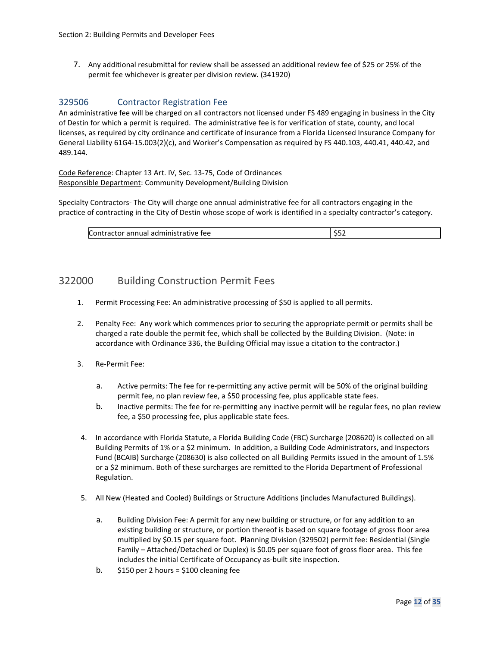7. Any additional resubmittal for review shall be assessed an additional review fee of \$25 or 25% of the permit fee whichever is greater per division review. (341920)

## 329506 Contractor Registration Fee

An administrative fee will be charged on all contractors not licensed under FS 489 engaging in business in the City of Destin for which a permit is required. The administrative fee is for verification of state, county, and local licenses, as required by city ordinance and certificate of insurance from a Florida Licensed Insurance Company for General Liability 61G4-15.003(2)(c), and Worker's Compensation as required by FS 440.103, 440.41, 440.42, and 489.144.

Code Reference: Chapter 13 Art. IV, Sec. 13-75, Code of Ordinances Responsible Department: Community Development/Building Division

Specialty Contractors- The City will charge one annual administrative fee for all contractors engaging in the practice of contracting in the City of Destin whose scope of work is identified in a specialty contractor's category.

## <span id="page-11-0"></span>322000 Building Construction Permit Fees

- 1. Permit Processing Fee: An administrative processing of \$50 is applied to all permits.
- 2. Penalty Fee: Any work which commences prior to securing the appropriate permit or permits shall be charged a rate double the permit fee, which shall be collected by the Building Division. (Note: in accordance with Ordinance 336, the Building Official may issue a citation to the contractor.)
- 3. Re-Permit Fee:
	- a. Active permits: The fee for re-permitting any active permit will be 50% of the original building permit fee, no plan review fee, a \$50 processing fee, plus applicable state fees.
	- b. Inactive permits: The fee for re-permitting any inactive permit will be regular fees, no plan review fee, a \$50 processing fee, plus applicable state fees.
- 4. In accordance with Florida Statute, a Florida Building Code (FBC) Surcharge (208620) is collected on all Building Permits of 1% or a \$2 minimum. In addition, a Building Code Administrators, and Inspectors Fund (BCAIB) Surcharge (208630) is also collected on all Building Permits issued in the amount of 1.5% or a \$2 minimum. Both of these surcharges are remitted to the Florida Department of Professional Regulation.
- 5. All New (Heated and Cooled) Buildings or Structure Additions (includes Manufactured Buildings).
	- a. Building Division Fee: A permit for any new building or structure, or for any addition to an existing building or structure, or portion thereof is based on square footage of gross floor area multiplied by \$0.15 per square foot. **P**lanning Division (329502) permit fee: Residential (Single Family – Attached/Detached or Duplex) is \$0.05 per square foot of gross floor area. This fee includes the initial Certificate of Occupancy as-built site inspection.
	- b.  $$150$  per 2 hours = \$100 cleaning fee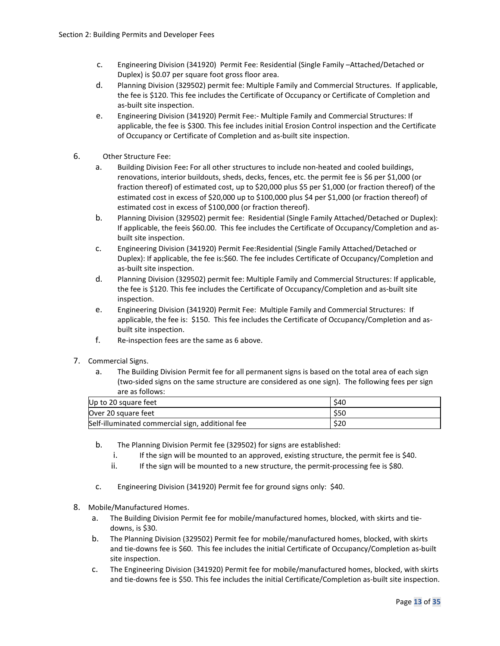- c. Engineering Division (341920) Permit Fee: Residential (Single Family –Attached/Detached or Duplex) is \$0.07 per square foot gross floor area.
- d. Planning Division (329502) permit fee: Multiple Family and Commercial Structures. If applicable, the fee is \$120. This fee includes the Certificate of Occupancy or Certificate of Completion and as-built site inspection.
- e. Engineering Division (341920) Permit Fee:- Multiple Family and Commercial Structures: If applicable, the fee is \$300. This fee includes initial Erosion Control inspection and the Certificate of Occupancy or Certificate of Completion and as-built site inspection.
- 6. Other Structure Fee:
	- a. Building Division Fee**:** For all other structures to include non-heated and cooled buildings, renovations, interior buildouts, sheds, decks, fences, etc. the permit fee is \$6 per \$1,000 (or fraction thereof) of estimated cost, up to \$20,000 plus \$5 per \$1,000 (or fraction thereof) of the estimated cost in excess of \$20,000 up to \$100,000 plus \$4 per \$1,000 (or fraction thereof) of estimated cost in excess of \$100,000 (or fraction thereof).
	- b. Planning Division (329502) permit fee: Residential (Single Family Attached/Detached or Duplex): If applicable, the feeis \$60.00. This fee includes the Certificate of Occupancy/Completion and asbuilt site inspection.
	- c. Engineering Division (341920) Permit Fee:Residential (Single Family Attached/Detached or Duplex): If applicable, the fee is:\$60. The fee includes Certificate of Occupancy/Completion and as-built site inspection.
	- d. Planning Division (329502) permit fee: Multiple Family and Commercial Structures: If applicable, the fee is \$120. This fee includes the Certificate of Occupancy/Completion and as-built site inspection.
	- e. Engineering Division (341920) Permit Fee: Multiple Family and Commercial Structures: If applicable, the fee is: \$150. This fee includes the Certificate of Occupancy/Completion and asbuilt site inspection.
	- f. Re-inspection fees are the same as 6 above.
- 7. Commercial Signs.
	- a. The Building Division Permit fee for all permanent signs is based on the total area of each sign (two-sided signs on the same structure are considered as one sign). The following fees per sign are as follows:

| Up to 20 square feet                             | <b>S40</b> |
|--------------------------------------------------|------------|
| Over 20 square feet                              | \$50       |
| Self-illuminated commercial sign, additional fee | \$20       |

- b. The Planning Division Permit fee (329502) for signs are established:
	- i. If the sign will be mounted to an approved, existing structure, the permit fee is \$40.
	- ii. If the sign will be mounted to a new structure, the permit-processing fee is \$80.
- c. Engineering Division (341920) Permit fee for ground signs only: \$40.
- 8. Mobile/Manufactured Homes.
	- a. The Building Division Permit fee for mobile/manufactured homes, blocked, with skirts and tiedowns, is \$30.
	- b. The Planning Division (329502) Permit fee for mobile/manufactured homes, blocked, with skirts and tie-downs fee is \$60. This fee includes the initial Certificate of Occupancy/Completion as-built site inspection.
	- c. The Engineering Division (341920) Permit fee for mobile/manufactured homes, blocked, with skirts and tie-downs fee is \$50. This fee includes the initial Certificate/Completion as-built site inspection.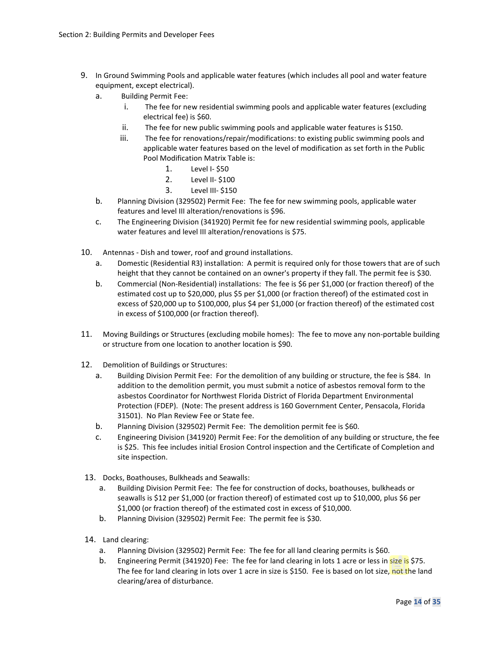- 9. In Ground Swimming Pools and applicable water features (which includes all pool and water feature equipment, except electrical).
	- a. Building Permit Fee:
		- i. The fee for new residential swimming pools and applicable water features (excluding electrical fee) is \$60.
		- ii. The fee for new public swimming pools and applicable water features is \$150.
		- iii. The fee for renovations/repair/modifications: to existing public swimming pools and applicable water features based on the level of modification as set forth in the Public Pool Modification Matrix Table is:
			- 1. Level I- \$50
			- 2. Level II- \$100
			- 3. Level III- \$150
	- b. Planning Division (329502) Permit Fee: The fee for new swimming pools, applicable water features and level III alteration/renovations is \$96.
	- c. The Engineering Division (341920) Permit fee for new residential swimming pools, applicable water features and level III alteration/renovations is \$75.
- 10. Antennas Dish and tower, roof and ground installations.
	- a. Domestic (Residential R3) installation: A permit is required only for those towers that are of such height that they cannot be contained on an owner's property if they fall. The permit fee is \$30.
	- b. Commercial (Non-Residential) installations: The fee is \$6 per \$1,000 (or fraction thereof) of the estimated cost up to \$20,000, plus \$5 per \$1,000 (or fraction thereof) of the estimated cost in excess of \$20,000 up to \$100,000, plus \$4 per \$1,000 (or fraction thereof) of the estimated cost in excess of \$100,000 (or fraction thereof).
- 11. Moving Buildings or Structures (excluding mobile homes): The fee to move any non-portable building or structure from one location to another location is \$90.
- 12. Demolition of Buildings or Structures:
	- a. Building Division Permit Fee: For the demolition of any building or structure, the fee is \$84. In addition to the demolition permit, you must submit a notice of asbestos removal form to the asbestos Coordinator for Northwest Florida District of Florida Department Environmental Protection (FDEP). (Note: The present address is 160 Government Center, Pensacola, Florida 31501). No Plan Review Fee or State fee.
	- b. Planning Division (329502) Permit Fee: The demolition permit fee is \$60.
	- c. Engineering Division (341920) Permit Fee: For the demolition of any building or structure, the fee is \$25. This fee includes initial Erosion Control inspection and the Certificate of Completion and site inspection.
- 13. Docks, Boathouses, Bulkheads and Seawalls:
	- a. Building Division Permit Fee: The fee for construction of docks, boathouses, bulkheads or seawalls is \$12 per \$1,000 (or fraction thereof) of estimated cost up to \$10,000, plus \$6 per \$1,000 (or fraction thereof) of the estimated cost in excess of \$10,000.
	- b. Planning Division (329502) Permit Fee: The permit fee is \$30.
- 14. Land clearing:
	- a. Planning Division (329502) Permit Fee: The fee for all land clearing permits is \$60.
	- b. Engineering Permit (341920) Fee: The fee for land clearing in lots 1 acre or less in size is \$75. The fee for land clearing in lots over 1 acre in size is \$150. Fee is based on lot size, not the land clearing/area of disturbance.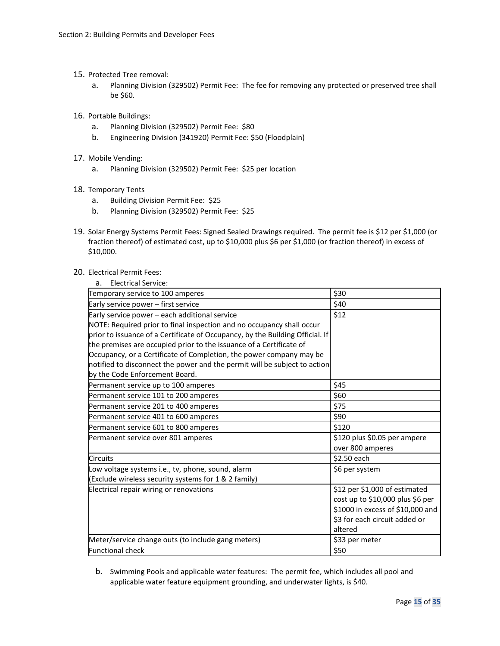- 15. Protected Tree removal:
	- a. Planning Division (329502) Permit Fee: The fee for removing any protected or preserved tree shall be \$60.
- 16. Portable Buildings:
	- a. Planning Division (329502) Permit Fee: \$80
	- b. Engineering Division (341920) Permit Fee: \$50 (Floodplain)
- 17. Mobile Vending:
	- a. Planning Division (329502) Permit Fee: \$25 per location
- 18. Temporary Tents
	- a. Building Division Permit Fee: \$25
	- b. Planning Division (329502) Permit Fee: \$25
- 19. Solar Energy Systems Permit Fees: Signed Sealed Drawings required. The permit fee is \$12 per \$1,000 (or fraction thereof) of estimated cost, up to \$10,000 plus \$6 per \$1,000 (or fraction thereof) in excess of \$10,000.
- 20. Electrical Permit Fees:

|  | <b>Electrical Service:</b> |
|--|----------------------------|
|--|----------------------------|

| Temporary service to 100 amperes                                              | \$30                             |
|-------------------------------------------------------------------------------|----------------------------------|
| Early service power - first service                                           | \$40                             |
| Early service power - each additional service                                 | \$12                             |
| NOTE: Required prior to final inspection and no occupancy shall occur         |                                  |
| prior to issuance of a Certificate of Occupancy, by the Building Official. If |                                  |
| the premises are occupied prior to the issuance of a Certificate of           |                                  |
| Occupancy, or a Certificate of Completion, the power company may be           |                                  |
| notified to disconnect the power and the permit will be subject to action     |                                  |
| by the Code Enforcement Board.                                                |                                  |
| Permanent service up to 100 amperes                                           | \$45                             |
| Permanent service 101 to 200 amperes                                          | \$60                             |
| Permanent service 201 to 400 amperes                                          | \$75                             |
| Permanent service 401 to 600 amperes                                          | \$90                             |
| Permanent service 601 to 800 amperes                                          | \$120                            |
| Permanent service over 801 amperes                                            | \$120 plus \$0.05 per ampere     |
|                                                                               | over 800 amperes                 |
| <b>Circuits</b>                                                               | \$2.50 each                      |
| Low voltage systems i.e., tv, phone, sound, alarm                             | \$6 per system                   |
| (Exclude wireless security systems for $1 < 2$ family)                        |                                  |
| Electrical repair wiring or renovations                                       | \$12 per \$1,000 of estimated    |
|                                                                               | cost up to \$10,000 plus \$6 per |
|                                                                               | \$1000 in excess of \$10,000 and |
|                                                                               | \$3 for each circuit added or    |
|                                                                               | altered                          |
| Meter/service change outs (to include gang meters)                            | \$33 per meter                   |
| <b>Functional check</b>                                                       | \$50                             |

b. Swimming Pools and applicable water features: The permit fee, which includes all pool and applicable water feature equipment grounding, and underwater lights, is \$40.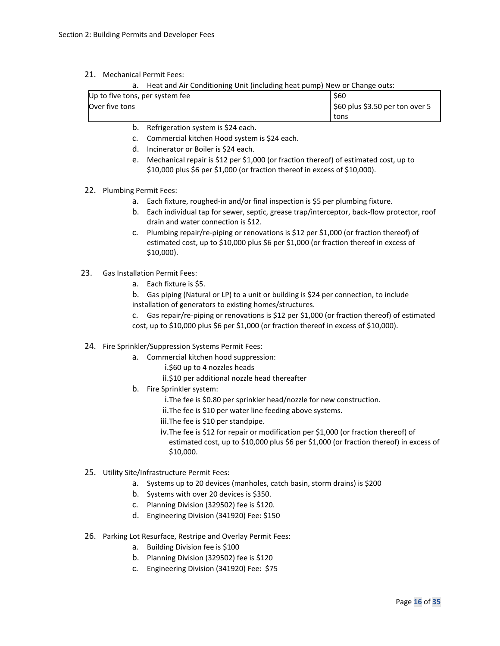21. Mechanical Permit Fees:

a. Heat and Air Conditioning Unit (including heat pump) New or Change outs:

| Up to five tons, per system fee |  |  | \$60                                          |
|---------------------------------|--|--|-----------------------------------------------|
| Over five tons                  |  |  | $\frac{1}{2}$ \$60 plus \$3.50 per ton over 5 |
|                                 |  |  | tons                                          |

- b. Refrigeration system is \$24 each.
- c. Commercial kitchen Hood system is \$24 each.
- d. Incinerator or Boiler is \$24 each.
- e. Mechanical repair is \$12 per \$1,000 (or fraction thereof) of estimated cost, up to \$10,000 plus \$6 per \$1,000 (or fraction thereof in excess of \$10,000).
- 22. Plumbing Permit Fees:
	- a. Each fixture, roughed-in and/or final inspection is \$5 per plumbing fixture.
	- b. Each individual tap for sewer, septic, grease trap/interceptor, back-flow protector, roof drain and water connection is \$12.
	- c. Plumbing repair/re-piping or renovations is \$12 per \$1,000 (or fraction thereof) of estimated cost, up to \$10,000 plus \$6 per \$1,000 (or fraction thereof in excess of \$10,000).
- 23. Gas Installation Permit Fees:
	- a. Each fixture is \$5.
	- b. Gas piping (Natural or LP) to a unit or building is \$24 per connection, to include installation of generators to existing homes/structures.
	- c. Gas repair/re-piping or renovations is \$12 per \$1,000 (or fraction thereof) of estimated cost, up to \$10,000 plus \$6 per \$1,000 (or fraction thereof in excess of \$10,000).
- 24. Fire Sprinkler/Suppression Systems Permit Fees:
	- a. Commercial kitchen hood suppression:
		- i.\$60 up to 4 nozzles heads
		- ii.\$10 per additional nozzle head thereafter
	- b. Fire Sprinkler system:
		- i.The fee is \$0.80 per sprinkler head/nozzle for new construction.
		- ii.The fee is \$10 per water line feeding above systems.
		- iii.The fee is \$10 per standpipe.
		- iv.The fee is \$12 for repair or modification per \$1,000 (or fraction thereof) of estimated cost, up to \$10,000 plus \$6 per \$1,000 (or fraction thereof) in excess of \$10,000.
- 25. Utility Site/Infrastructure Permit Fees:
	- a. Systems up to 20 devices (manholes, catch basin, storm drains) is \$200
	- b. Systems with over 20 devices is \$350.
	- c. Planning Division (329502) fee is \$120.
	- d. Engineering Division (341920) Fee: \$150
- 26. Parking Lot Resurface, Restripe and Overlay Permit Fees:
	- a. Building Division fee is \$100
	- b. Planning Division (329502) fee is \$120
	- c. Engineering Division (341920) Fee: \$75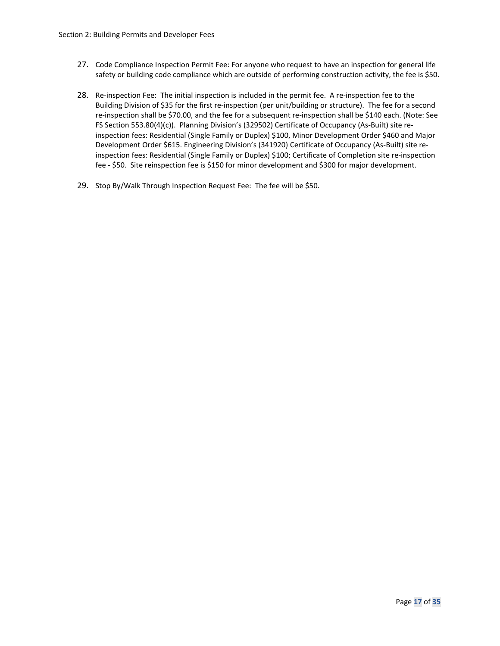- 27. Code Compliance Inspection Permit Fee: For anyone who request to have an inspection for general life safety or building code compliance which are outside of performing construction activity, the fee is \$50.
- 28. Re-inspection Fee: The initial inspection is included in the permit fee. A re-inspection fee to the Building Division of \$35 for the first re-inspection (per unit/building or structure). The fee for a second re-inspection shall be \$70.00, and the fee for a subsequent re-inspection shall be \$140 each. (Note: See FS Section 553.80(4)(c)). Planning Division's (329502) Certificate of Occupancy (As-Built) site reinspection fees: Residential (Single Family or Duplex) \$100, Minor Development Order \$460 and Major Development Order \$615. Engineering Division's (341920) Certificate of Occupancy (As-Built) site reinspection fees: Residential (Single Family or Duplex) \$100; Certificate of Completion site re-inspection fee - \$50. Site reinspection fee is \$150 for minor development and \$300 for major development.
- 29. Stop By/Walk Through Inspection Request Fee: The fee will be \$50.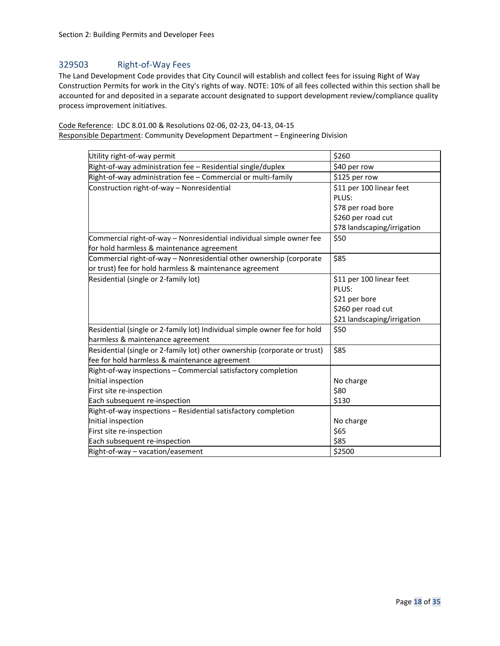## 329503 Right-of-Way Fees

The Land Development Code provides that City Council will establish and collect fees for issuing Right of Way Construction Permits for work in the City's rights of way. NOTE: 10% of all fees collected within this section shall be accounted for and deposited in a separate account designated to support development review/compliance quality process improvement initiatives.

Code Reference: LDC 8.01.00 & Resolutions 02-06, 02-23, 04-13, 04-15 Responsible Department: Community Development Department – Engineering Division

| Utility right-of-way permit                                                                                       | \$260                             |
|-------------------------------------------------------------------------------------------------------------------|-----------------------------------|
| Right-of-way administration fee - Residential single/duplex                                                       | \$40 per row                      |
| Right-of-way administration fee - Commercial or multi-family                                                      | \$125 per row                     |
| Construction right-of-way - Nonresidential                                                                        | \$11 per 100 linear feet<br>PLUS: |
|                                                                                                                   | \$78 per road bore                |
|                                                                                                                   | \$260 per road cut                |
|                                                                                                                   | \$78 landscaping/irrigation       |
| Commercial right-of-way - Nonresidential individual simple owner fee<br>for hold harmless & maintenance agreement | \$50                              |
| Commercial right-of-way - Nonresidential other ownership (corporate                                               | \$85                              |
| or trust) fee for hold harmless & maintenance agreement                                                           |                                   |
| Residential (single or 2-family lot)                                                                              | \$11 per 100 linear feet<br>PLUS: |
|                                                                                                                   | \$21 per bore                     |
|                                                                                                                   | \$260 per road cut                |
|                                                                                                                   | \$21 landscaping/irrigation       |
| Residential (single or 2-family lot) Individual simple owner fee for hold                                         | \$50                              |
| harmless & maintenance agreement                                                                                  |                                   |
| Residential (single or 2-family lot) other ownership (corporate or trust)                                         | \$85                              |
| fee for hold harmless & maintenance agreement                                                                     |                                   |
| Right-of-way inspections - Commercial satisfactory completion                                                     |                                   |
| Initial inspection                                                                                                | No charge                         |
| First site re-inspection                                                                                          | \$80                              |
| Each subsequent re-inspection                                                                                     | \$130                             |
| Right-of-way inspections - Residential satisfactory completion                                                    |                                   |
| Initial inspection                                                                                                | No charge                         |
| First site re-inspection                                                                                          | \$65                              |
| Each subsequent re-inspection                                                                                     | \$85                              |
| Right-of-way - vacation/easement                                                                                  | \$2500                            |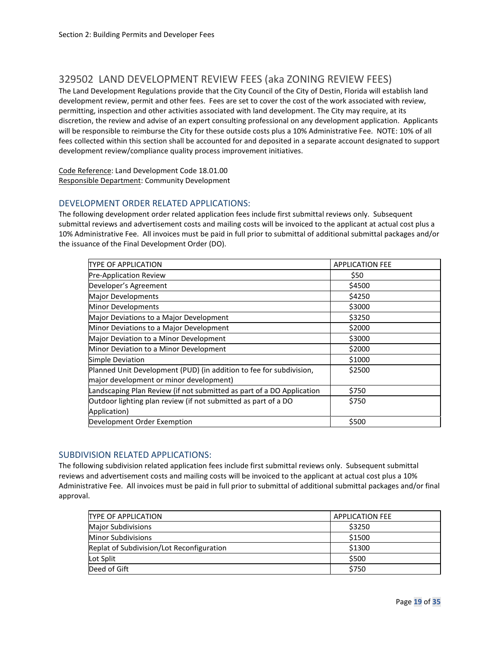## <span id="page-18-0"></span>329502 LAND DEVELOPMENT REVIEW FEES (aka ZONING REVIEW FEES)

The Land Development Regulations provide that the City Council of the City of Destin, Florida will establish land development review, permit and other fees. Fees are set to cover the cost of the work associated with review, permitting, inspection and other activities associated with land development. The City may require, at its discretion, the review and advise of an expert consulting professional on any development application. Applicants will be responsible to reimburse the City for these outside costs plus a 10% Administrative Fee. NOTE: 10% of all fees collected within this section shall be accounted for and deposited in a separate account designated to support development review/compliance quality process improvement initiatives.

Code Reference: Land Development Code 18.01.00 Responsible Department: Community Development

### DEVELOPMENT ORDER RELATED APPLICATIONS:

The following development order related application fees include first submittal reviews only. Subsequent submittal reviews and advertisement costs and mailing costs will be invoiced to the applicant at actual cost plus a 10% Administrative Fee. All invoices must be paid in full prior to submittal of additional submittal packages and/or the issuance of the Final Development Order (DO).

| ITYPE OF APPLICATION                                                  | <b>APPLICATION FEE</b> |
|-----------------------------------------------------------------------|------------------------|
| Pre-Application Review                                                | \$50                   |
| Developer's Agreement                                                 | \$4500                 |
| Major Developments                                                    | \$4250                 |
| Minor Developments                                                    | \$3000                 |
| Major Deviations to a Major Development                               | \$3250                 |
| Minor Deviations to a Major Development                               | \$2000                 |
| Major Deviation to a Minor Development                                | \$3000                 |
| Minor Deviation to a Minor Development                                | \$2000                 |
| Simple Deviation                                                      | \$1000                 |
| Planned Unit Development (PUD) (in addition to fee for subdivision,   | \$2500                 |
| major development or minor development)                               |                        |
| Landscaping Plan Review (if not submitted as part of a DO Application | \$750                  |
| Outdoor lighting plan review (if not submitted as part of a DO        | \$750                  |
| Application)                                                          |                        |
| Development Order Exemption                                           | \$500                  |

## SUBDIVISION RELATED APPLICATIONS:

The following subdivision related application fees include first submittal reviews only. Subsequent submittal reviews and advertisement costs and mailing costs will be invoiced to the applicant at actual cost plus a 10% Administrative Fee. All invoices must be paid in full prior to submittal of additional submittal packages and/or final approval.

| <b>TYPE OF APPLICATION</b>                | <b>APPLICATION FEE</b> |
|-------------------------------------------|------------------------|
| <b>Major Subdivisions</b>                 | \$3250                 |
| <b>Minor Subdivisions</b>                 | \$1500                 |
| Replat of Subdivision/Lot Reconfiguration | \$1300                 |
| Lot Split                                 | \$500                  |
| Deed of Gift                              | \$750                  |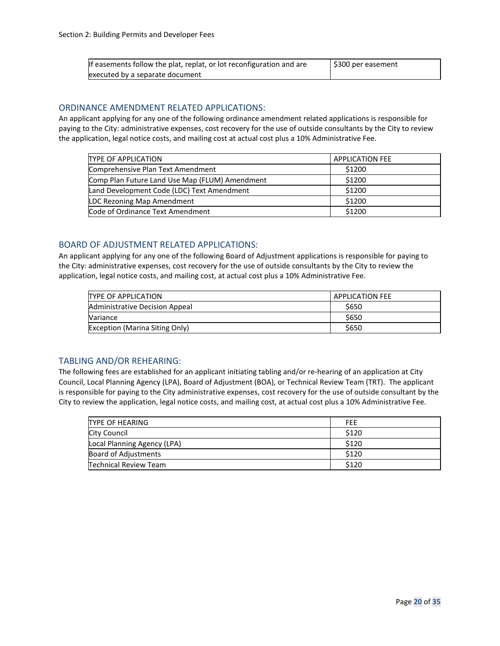| If easements follow the plat, replat, or lot reconfiguration and are | S300 per easement |
|----------------------------------------------------------------------|-------------------|
| executed by a separate document                                      |                   |

#### ORDINANCE AMENDMENT RELATED APPLICATIONS:

An applicant applying for any one of the following ordinance amendment related applications is responsible for paying to the City: administrative expenses, cost recovery for the use of outside consultants by the City to review the application, legal notice costs, and mailing cost at actual cost plus a 10% Administrative Fee.

| <b>TYPE OF APPLICATION</b>                     | <b>APPLICATION FEE</b> |
|------------------------------------------------|------------------------|
| Comprehensive Plan Text Amendment              | \$1200                 |
| Comp Plan Future Land Use Map (FLUM) Amendment | \$1200                 |
| Land Development Code (LDC) Text Amendment     | \$1200                 |
| LDC Rezoning Map Amendment                     | \$1200                 |
| Code of Ordinance Text Amendment               | \$1200                 |

## BOARD OF ADJUSTMENT RELATED APPLICATIONS:

An applicant applying for any one of the following Board of Adjustment applications is responsible for paying to the City: administrative expenses, cost recovery for the use of outside consultants by the City to review the application, legal notice costs, and mailing cost, at actual cost plus a 10% Administrative Fee.

| <b>TYPE OF APPLICATION</b>            | <b>APPLICATION FEE</b> |  |  |
|---------------------------------------|------------------------|--|--|
| Administrative Decision Appeal        | \$650                  |  |  |
| Variance                              | \$650                  |  |  |
| <b>Exception (Marina Siting Only)</b> | \$650                  |  |  |

## TABLING AND/OR REHEARING:

The following fees are established for an applicant initiating tabling and/or re-hearing of an application at City Council, Local Planning Agency (LPA), Board of Adjustment (BOA), or Technical Review Team (TRT). The applicant is responsible for paying to the City administrative expenses, cost recovery for the use of outside consultant by the City to review the application, legal notice costs, and mailing cost, at actual cost plus a 10% Administrative Fee.

| <b>TYPE OF HEARING</b>      | <b>FFF</b> |
|-----------------------------|------------|
| City Council                | \$120      |
| Local Planning Agency (LPA) | \$120      |
| Board of Adjustments        | \$120      |
| Technical Review Team       | \$120      |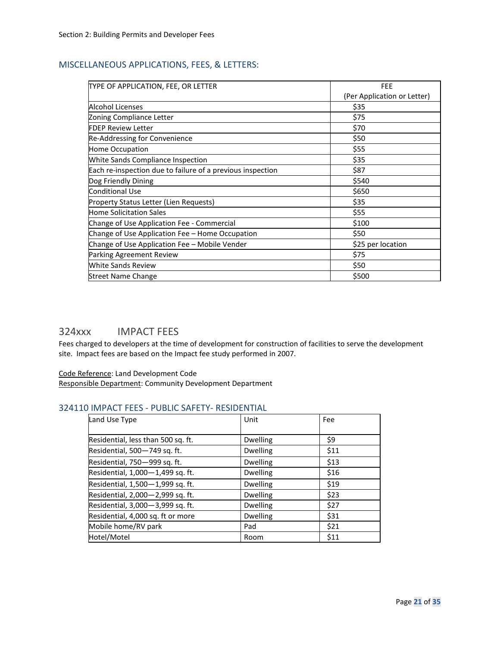## MISCELLANEOUS APPLICATIONS, FEES, & LETTERS:

| TYPE OF APPLICATION, FEE, OR LETTER                        | <b>FEE</b>                  |  |
|------------------------------------------------------------|-----------------------------|--|
|                                                            | (Per Application or Letter) |  |
| Alcohol Licenses                                           | \$35                        |  |
| Zoning Compliance Letter                                   | \$75                        |  |
| <b>FDEP Review Letter</b>                                  | \$70                        |  |
| Re-Addressing for Convenience                              | \$50                        |  |
| Home Occupation                                            | \$55                        |  |
| White Sands Compliance Inspection                          | \$35                        |  |
| Each re-inspection due to failure of a previous inspection | \$87                        |  |
| Dog Friendly Dining                                        | \$540                       |  |
| <b>Conditional Use</b>                                     | \$650                       |  |
| Property Status Letter (Lien Requests)                     | \$35                        |  |
| <b>Home Solicitation Sales</b>                             | \$55                        |  |
| Change of Use Application Fee - Commercial                 | \$100                       |  |
| Change of Use Application Fee – Home Occupation            | \$50                        |  |
| Change of Use Application Fee - Mobile Vender              | \$25 per location           |  |
| Parking Agreement Review                                   | \$75                        |  |
| <b>White Sands Review</b>                                  | \$50                        |  |
| <b>Street Name Change</b>                                  | \$500                       |  |

## <span id="page-20-0"></span>324xxx IMPACT FEES

Fees charged to developers at the time of development for construction of facilities to serve the development site. Impact fees are based on the Impact fee study performed in 2007.

## Code Reference: Land Development Code

Responsible Department: Community Development Department

## 324110 IMPACT FEES - PUBLIC SAFETY- RESIDENTIAL

| Land Use Type                      | Unit            | Fee  |
|------------------------------------|-----------------|------|
|                                    |                 |      |
| Residential, less than 500 sq. ft. | <b>Dwelling</b> | \$9  |
| Residential, 500-749 sq. ft.       | <b>Dwelling</b> | \$11 |
| Residential, 750-999 sq. ft.       | <b>Dwelling</b> | \$13 |
| Residential, 1,000-1,499 sq. ft.   | <b>Dwelling</b> | \$16 |
| Residential, 1,500-1,999 sq. ft.   | <b>Dwelling</b> | \$19 |
| Residential, 2,000-2,999 sq. ft.   | <b>Dwelling</b> | \$23 |
| Residential, 3,000-3,999 sq. ft.   | <b>Dwelling</b> | \$27 |
| Residential, 4,000 sq. ft or more  | <b>Dwelling</b> | \$31 |
| Mobile home/RV park                | Pad             | \$21 |
| Hotel/Motel                        | Room            | \$11 |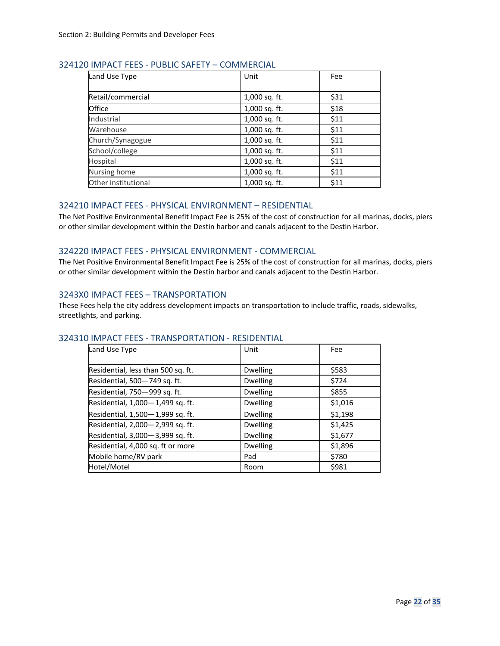| Land Use Type       | Unit          | Fee  |
|---------------------|---------------|------|
| Retail/commercial   | 1,000 sq. ft. | \$31 |
| Office              | 1,000 sq. ft. | \$18 |
| Industrial          | 1,000 sq. ft. | \$11 |
| Warehouse           | 1,000 sq. ft. | \$11 |
| Church/Synagogue    | 1,000 sq. ft. | \$11 |
| School/college      | 1,000 sq. ft. | \$11 |
| Hospital            | 1,000 sq. ft. | \$11 |
| Nursing home        | 1,000 sq. ft. | \$11 |
| Other institutional | 1,000 sq. ft. | \$11 |

## 324120 IMPACT FEES - PUBLIC SAFETY – COMMERCIAL

### 324210 IMPACT FEES - PHYSICAL ENVIRONMENT – RESIDENTIAL

The Net Positive Environmental Benefit Impact Fee is 25% of the cost of construction for all marinas, docks, piers or other similar development within the Destin harbor and canals adjacent to the Destin Harbor.

## 324220 IMPACT FEES - PHYSICAL ENVIRONMENT - COMMERCIAL

The Net Positive Environmental Benefit Impact Fee is 25% of the cost of construction for all marinas, docks, piers or other similar development within the Destin harbor and canals adjacent to the Destin Harbor.

### 3243X0 IMPACT FEES – TRANSPORTATION

These Fees help the city address development impacts on transportation to include traffic, roads, sidewalks, streetlights, and parking.

## 324310 IMPACT FEES - TRANSPORTATION - RESIDENTIAL

| Land Use Type                      | Unit            | Fee     |
|------------------------------------|-----------------|---------|
| Residential, less than 500 sq. ft. | <b>Dwelling</b> | \$583   |
| Residential, 500-749 sq. ft.       | <b>Dwelling</b> | \$724   |
| Residential, 750-999 sq. ft.       | <b>Dwelling</b> | \$855   |
| Residential, 1,000-1,499 sq. ft.   | <b>Dwelling</b> | \$1,016 |
| Residential, 1,500-1,999 sq. ft.   | <b>Dwelling</b> | \$1,198 |
| Residential, 2,000-2,999 sq. ft.   | <b>Dwelling</b> | \$1,425 |
| Residential, 3,000-3,999 sq. ft.   | <b>Dwelling</b> | \$1,677 |
| Residential, 4,000 sq. ft or more  | <b>Dwelling</b> | \$1,896 |
| Mobile home/RV park                | Pad             | \$780   |
| Hotel/Motel                        | Room            | \$981   |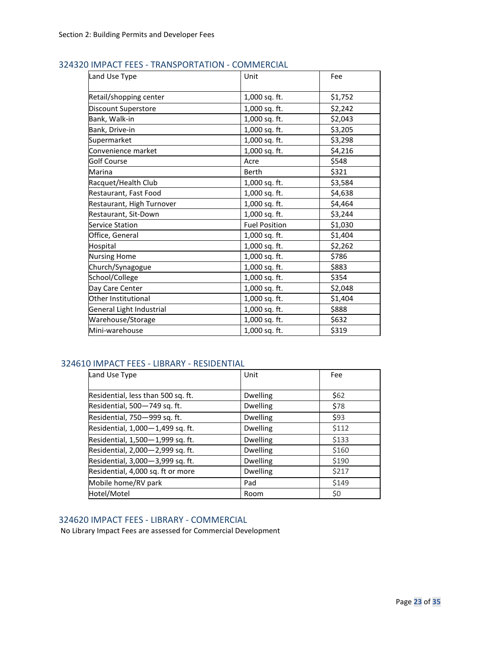| Land Use Type             | Unit                 | Fee     |
|---------------------------|----------------------|---------|
| Retail/shopping center    | 1,000 sq. ft.        | \$1,752 |
| Discount Superstore       | 1,000 sq. ft.        | \$2,242 |
| Bank, Walk-in             | 1,000 sq. ft.        | \$2,043 |
| Bank, Drive-in            | 1,000 sq. ft.        | \$3,205 |
| Supermarket               | 1,000 sq. ft.        | \$3,298 |
| Convenience market        | 1,000 sq. ft.        | \$4,216 |
| <b>Golf Course</b>        | Acre                 | \$548   |
| Marina                    | <b>Berth</b>         | \$321   |
| Racquet/Health Club       | 1,000 sq. ft.        | \$3,584 |
| Restaurant, Fast Food     | 1,000 sq. ft.        | \$4,638 |
| Restaurant, High Turnover | 1,000 sq. ft.        | \$4,464 |
| Restaurant, Sit-Down      | 1,000 sq. ft.        | \$3,244 |
| Service Station           | <b>Fuel Position</b> | \$1,030 |
| Office, General           | 1,000 sq. ft.        | \$1,404 |
| Hospital                  | 1,000 sq. ft.        | \$2,262 |
| <b>Nursing Home</b>       | 1,000 sq. ft.        | \$786   |
| Church/Synagogue          | 1,000 sq. ft.        | \$883   |
| School/College            | 1,000 sq. ft.        | \$354   |
| Day Care Center           | 1,000 sq. ft.        | \$2,048 |
| Other Institutional       | 1,000 sq. ft.        | \$1,404 |
| General Light Industrial  | 1,000 sq. ft.        | \$888   |
| Warehouse/Storage         | 1,000 sq. ft.        | \$632   |
| Mini-warehouse            | 1,000 sq. ft.        | \$319   |

## 324320 IMPACT FEES - TRANSPORTATION - COMMERCIAL

## 324610 IMPACT FEES - LIBRARY - RESIDENTIAL

| Land Use Type                      | Unit            | Fee   |
|------------------------------------|-----------------|-------|
| Residential, less than 500 sq. ft. | <b>Dwelling</b> | \$62  |
| Residential, 500-749 sq. ft.       | <b>Dwelling</b> | \$78  |
| Residential, 750-999 sq. ft.       | <b>Dwelling</b> | \$93  |
| Residential, 1,000-1,499 sq. ft.   | <b>Dwelling</b> | \$112 |
| Residential, 1,500-1,999 sq. ft.   | <b>Dwelling</b> | \$133 |
| Residential, 2,000-2,999 sq. ft.   | <b>Dwelling</b> | \$160 |
| Residential, 3,000-3,999 sq. ft.   | <b>Dwelling</b> | \$190 |
| Residential, 4,000 sq. ft or more  | <b>Dwelling</b> | \$217 |
| Mobile home/RV park                | Pad             | \$149 |
| Hotel/Motel                        | Room            | \$0   |

## 324620 IMPACT FEES - LIBRARY - COMMERCIAL

No Library Impact Fees are assessed for Commercial Development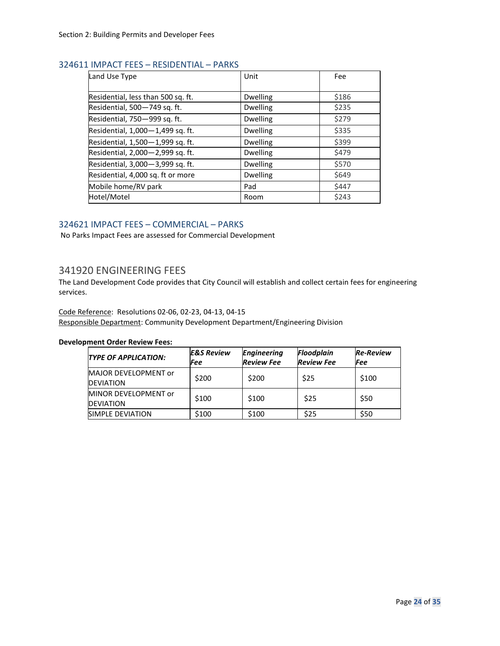## 324611 IMPACT FEES – RESIDENTIAL – PARKS

| Land Use Type                      | Unit            | Fee   |
|------------------------------------|-----------------|-------|
| Residential, less than 500 sq. ft. | <b>Dwelling</b> | \$186 |
| Residential, 500-749 sq. ft.       | <b>Dwelling</b> | \$235 |
| Residential, 750-999 sq. ft.       | <b>Dwelling</b> | \$279 |
| Residential, 1,000-1,499 sq. ft.   | <b>Dwelling</b> | \$335 |
| Residential, 1,500-1,999 sq. ft.   | <b>Dwelling</b> | \$399 |
| Residential, 2,000-2,999 sq. ft.   | <b>Dwelling</b> | \$479 |
| Residential, 3,000-3,999 sq. ft.   | <b>Dwelling</b> | \$570 |
| Residential, 4,000 sq. ft or more  | <b>Dwelling</b> | \$649 |
| Mobile home/RV park                | Pad             | \$447 |
| Hotel/Motel                        | Room            | \$243 |

## 324621 IMPACT FEES – COMMERCIAL – PARKS

No Parks Impact Fees are assessed for Commercial Development

## <span id="page-23-0"></span>341920 ENGINEERING FEES

The Land Development Code provides that City Council will establish and collect certain fees for engineering services.

Code Reference: Resolutions 02-06, 02-23, 04-13, 04-15

Responsible Department: Community Development Department/Engineering Division

#### **Development Order Review Fees:**

| <b>TYPE OF APPLICATION:</b>               | <b>E&amp;S Review</b><br>Fee | <b>Engineering</b><br><b>Review Fee</b> | <b>Floodplain</b><br><b>Review Fee</b> | <b>Re-Review</b><br>Fee |
|-------------------------------------------|------------------------------|-----------------------------------------|----------------------------------------|-------------------------|
| MAJOR DEVELOPMENT or<br><b>IDEVIATION</b> | \$200                        | \$200                                   | \$25                                   | \$100                   |
| MINOR DEVELOPMENT or<br><b>DEVIATION</b>  | \$100                        | \$100                                   | \$25                                   | \$50                    |
| SIMPLE DEVIATION                          | \$100                        | \$100                                   | \$25                                   | \$50                    |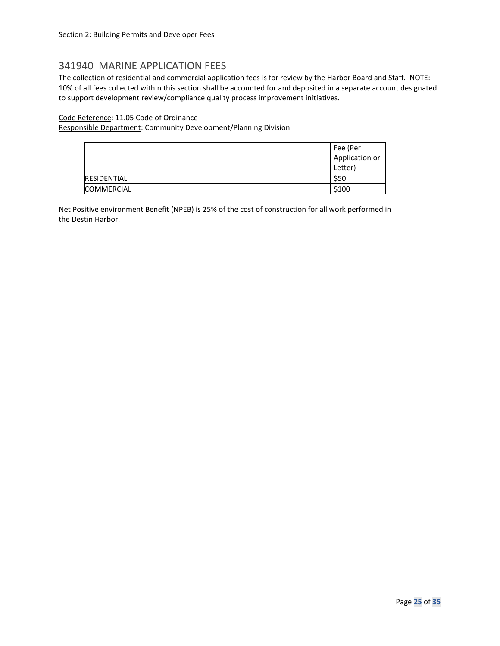## <span id="page-24-0"></span>341940 MARINE APPLICATION FEES

The collection of residential and commercial application fees is for review by the Harbor Board and Staff. NOTE: 10% of all fees collected within this section shall be accounted for and deposited in a separate account designated to support development review/compliance quality process improvement initiatives.

## Code Reference: 11.05 Code of Ordinance

Responsible Department: Community Development/Planning Division

|                    | Fee (Per       |
|--------------------|----------------|
|                    | Application or |
|                    | Letter)        |
| <b>RESIDENTIAL</b> | \$50           |
| <b>COMMERCIAL</b>  | \$100          |

Net Positive environment Benefit (NPEB) is 25% of the cost of construction for all work performed in the Destin Harbor.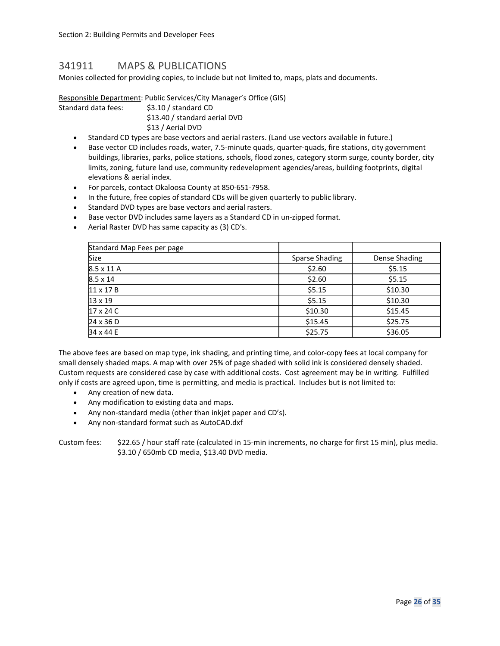## <span id="page-25-0"></span>341911 MAPS & PUBLICATIONS

Monies collected for providing copies, to include but not limited to, maps, plats and documents.

Responsible Department: Public Services/City Manager's Office (GIS)

Standard data fees: \$3.10 / standard CD

\$13.40 / standard aerial DVD \$13 / Aerial DVD

- Standard CD types are base vectors and aerial rasters. (Land use vectors available in future.)
- Base vector CD includes roads, water, 7.5-minute quads, quarter-quads, fire stations, city government buildings, libraries, parks, police stations, schools, flood zones, category storm surge, county border, city limits, zoning, future land use, community redevelopment agencies/areas, building footprints, digital elevations & aerial index.
- For parcels, contact Okaloosa County at 850-651-7958.
- In the future, free copies of standard CDs will be given quarterly to public library.
- Standard DVD types are base vectors and aerial rasters.
- Base vector DVD includes same layers as a Standard CD in un-zipped format.
- Aerial Raster DVD has same capacity as (3) CD's.

| Standard Map Fees per page |                       |               |
|----------------------------|-----------------------|---------------|
| Size                       | <b>Sparse Shading</b> | Dense Shading |
| 8.5 x 11 A                 | \$2.60                | \$5.15        |
| $8.5 \times 14$            | \$2.60                | \$5.15        |
| $11 \times 17 B$           | \$5.15                | \$10.30       |
| $13 \times 19$             | \$5.15                | \$10.30       |
| $17 \times 24$ C           | \$10.30               | \$15.45       |
| $24 \times 36$ D           | \$15.45               | \$25.75       |
| 34 x 44 E                  | \$25.75               | \$36.05       |

The above fees are based on map type, ink shading, and printing time, and color-copy fees at local company for small densely shaded maps. A map with over 25% of page shaded with solid ink is considered densely shaded. Custom requests are considered case by case with additional costs. Cost agreement may be in writing. Fulfilled only if costs are agreed upon, time is permitting, and media is practical. Includes but is not limited to:

- Any creation of new data.
- Any modification to existing data and maps.
- Any non-standard media (other than inkjet paper and CD's).
- Any non-standard format such as AutoCAD.dxf

Custom fees: \$22.65 / hour staff rate (calculated in 15-min increments, no charge for first 15 min), plus media. \$3.10 / 650mb CD media, \$13.40 DVD media.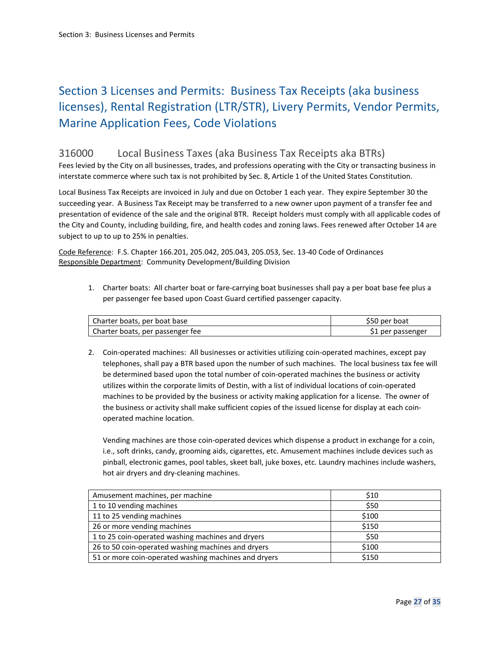## <span id="page-26-0"></span>Section 3 Licenses and Permits: Business Tax Receipts (aka business licenses), Rental Registration (LTR/STR), Livery Permits, Vendor Permits, Marine Application Fees, Code Violations

## <span id="page-26-1"></span>316000 Local Business Taxes (aka Business Tax Receipts aka BTRs)

Fees levied by the City on all businesses, trades, and professions operating with the City or transacting business in interstate commerce where such tax is not prohibited by Sec. 8, Article 1 of the United States Constitution.

Local Business Tax Receipts are invoiced in July and due on October 1 each year. They expire September 30 the succeeding year. A Business Tax Receipt may be transferred to a new owner upon payment of a transfer fee and presentation of evidence of the sale and the original BTR. Receipt holders must comply with all applicable codes of the City and County, including building, fire, and health codes and zoning laws. Fees renewed after October 14 are subject to up to up to 25% in penalties.

Code Reference: F.S. Chapter 166.201, 205.042, 205.043, 205.053, Sec. 13-40 Code of Ordinances Responsible Department: Community Development/Building Division

1. Charter boats: All charter boat or fare-carrying boat businesses shall pay a per boat base fee plus a per passenger fee based upon Coast Guard certified passenger capacity.

| Charter boats, per boat base     | \$50 per boat     |
|----------------------------------|-------------------|
| Charter boats, per passenger fee | \$1 per passenger |

2. Coin-operated machines: All businesses or activities utilizing coin-operated machines, except pay telephones, shall pay a BTR based upon the number of such machines. The local business tax fee will be determined based upon the total number of coin-operated machines the business or activity utilizes within the corporate limits of Destin, with a list of individual locations of coin-operated machines to be provided by the business or activity making application for a license. The owner of the business or activity shall make sufficient copies of the issued license for display at each coinoperated machine location.

Vending machines are those coin-operated devices which dispense a product in exchange for a coin, i.e., soft drinks, candy, grooming aids, cigarettes, etc. Amusement machines include devices such as pinball, electronic games, pool tables, skeet ball, juke boxes, etc. Laundry machines include washers, hot air dryers and dry-cleaning machines.

| Amusement machines, per machine                      | \$10  |
|------------------------------------------------------|-------|
| 1 to 10 vending machines                             | \$50  |
| 11 to 25 vending machines                            | \$100 |
| 26 or more vending machines                          | \$150 |
| 1 to 25 coin-operated washing machines and dryers    | \$50  |
| 26 to 50 coin-operated washing machines and dryers   | \$100 |
| 51 or more coin-operated washing machines and dryers | \$150 |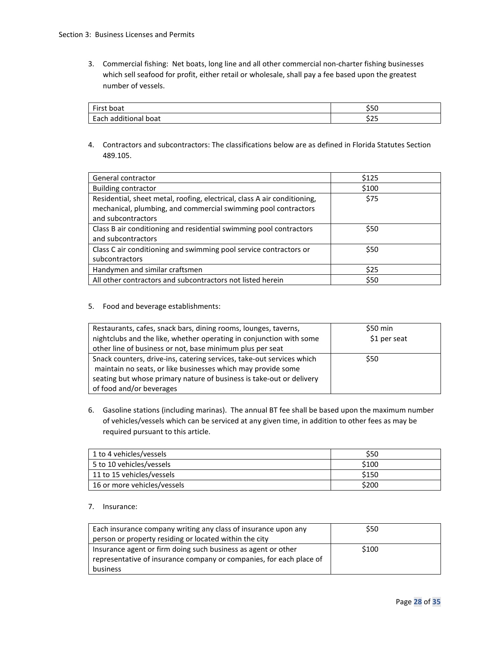3. Commercial fishing: Net boats, long line and all other commercial non-charter fishing businesses which sell seafood for profit, either retail or wholesale, shall pay a fee based upon the greatest number of vessels.

| First L                          | -                      |
|----------------------------------|------------------------|
| First boat                       | ンンい                    |
| additional boat<br>Each<br>Latii | $\sim$ $\sim$<br>ر ے ب |

4. Contractors and subcontractors: The classifications below are as defined in Florida Statutes Section 489.105.

| General contractor                                                       | \$125 |
|--------------------------------------------------------------------------|-------|
| <b>Building contractor</b>                                               | \$100 |
| Residential, sheet metal, roofing, electrical, class A air conditioning, | \$75  |
| mechanical, plumbing, and commercial swimming pool contractors           |       |
| and subcontractors                                                       |       |
| Class B air conditioning and residential swimming pool contractors       | \$50  |
| and subcontractors                                                       |       |
| Class C air conditioning and swimming pool service contractors or        | \$50  |
| subcontractors                                                           |       |
| Handymen and similar craftsmen                                           | \$25  |
| All other contractors and subcontractors not listed herein               | \$50  |

5. Food and beverage establishments:

| Restaurants, cafes, snack bars, dining rooms, lounges, taverns,       | \$50 min     |
|-----------------------------------------------------------------------|--------------|
| nightclubs and the like, whether operating in conjunction with some   | \$1 per seat |
| other line of business or not, base minimum plus per seat             |              |
| Snack counters, drive-ins, catering services, take-out services which | \$50         |
| maintain no seats, or like businesses which may provide some          |              |
| seating but whose primary nature of business is take-out or delivery  |              |
| of food and/or beverages                                              |              |

6. Gasoline stations (including marinas). The annual BT fee shall be based upon the maximum number of vehicles/vessels which can be serviced at any given time, in addition to other fees as may be required pursuant to this article.

| 1 to 4 vehicles/vessels     | \$50  |
|-----------------------------|-------|
| 5 to 10 vehicles/vessels    | \$100 |
| 11 to 15 vehicles/vessels   | \$150 |
| 16 or more vehicles/vessels | \$200 |

#### 7. Insurance:

| Each insurance company writing any class of insurance upon any      | \$50  |
|---------------------------------------------------------------------|-------|
| person or property residing or located within the city              |       |
| Insurance agent or firm doing such business as agent or other       | \$100 |
| representative of insurance company or companies, for each place of |       |
| business                                                            |       |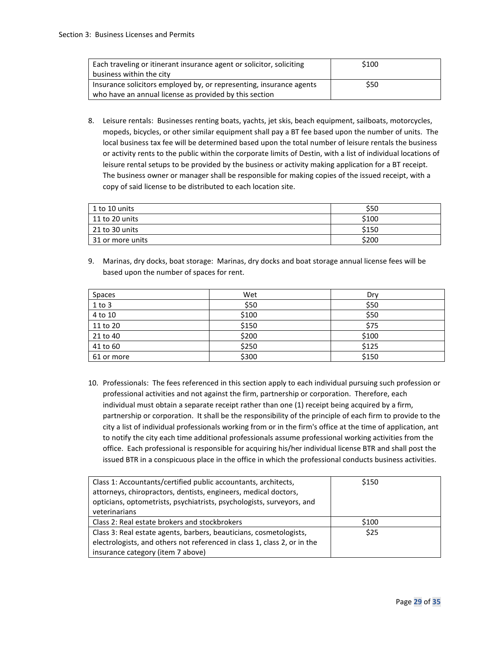| Each traveling or itinerant insurance agent or solicitor, soliciting | \$100 |
|----------------------------------------------------------------------|-------|
| business within the city                                             |       |
| Insurance solicitors employed by, or representing, insurance agents  | \$50  |
| who have an annual license as provided by this section               |       |

8. Leisure rentals: Businesses renting boats, yachts, jet skis, beach equipment, sailboats, motorcycles, mopeds, bicycles, or other similar equipment shall pay a BT fee based upon the number of units. The local business tax fee will be determined based upon the total number of leisure rentals the business or activity rents to the public within the corporate limits of Destin, with a list of individual locations of leisure rental setups to be provided by the business or activity making application for a BT receipt. The business owner or manager shall be responsible for making copies of the issued receipt, with a copy of said license to be distributed to each location site.

| 1 to 10 units         | \$50  |
|-----------------------|-------|
| 11 to 20 units        | \$100 |
| $\mid$ 21 to 30 units | \$150 |
| 31 or more units      | \$200 |

9. Marinas, dry docks, boat storage: Marinas, dry docks and boat storage annual license fees will be based upon the number of spaces for rent.

| <b>Spaces</b> | Wet   | Dry   |
|---------------|-------|-------|
| $1$ to $3$    | \$50  | \$50  |
| 4 to 10       | \$100 | \$50  |
| 11 to 20      | \$150 | \$75  |
| 21 to 40      | \$200 | \$100 |
| 41 to 60      | \$250 | \$125 |
| 61 or more    | \$300 | \$150 |

10. Professionals: The fees referenced in this section apply to each individual pursuing such profession or professional activities and not against the firm, partnership or corporation. Therefore, each individual must obtain a separate receipt rather than one (1) receipt being acquired by a firm, partnership or corporation. It shall be the responsibility of the principle of each firm to provide to the city a list of individual professionals working from or in the firm's office at the time of application, ant to notify the city each time additional professionals assume professional working activities from the office. Each professional is responsible for acquiring his/her individual license BTR and shall post the issued BTR in a conspicuous place in the office in which the professional conducts business activities.

| Class 1: Accountants/certified public accountants, architects,           | \$150 |
|--------------------------------------------------------------------------|-------|
| attorneys, chiropractors, dentists, engineers, medical doctors,          |       |
| opticians, optometrists, psychiatrists, psychologists, surveyors, and    |       |
| veterinarians                                                            |       |
| Class 2: Real estate brokers and stockbrokers                            | \$100 |
| Class 3: Real estate agents, barbers, beauticians, cosmetologists,       | \$25  |
| electrologists, and others not referenced in class 1, class 2, or in the |       |
| insurance category (item 7 above)                                        |       |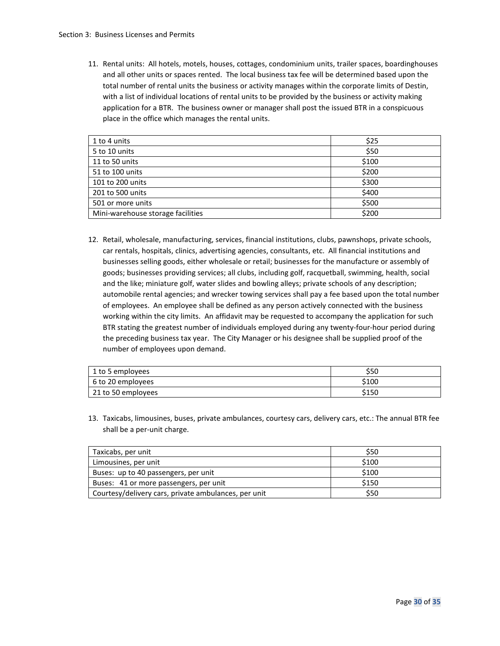11. Rental units: All hotels, motels, houses, cottages, condominium units, trailer spaces, boardinghouses and all other units or spaces rented. The local business tax fee will be determined based upon the total number of rental units the business or activity manages within the corporate limits of Destin, with a list of individual locations of rental units to be provided by the business or activity making application for a BTR. The business owner or manager shall post the issued BTR in a conspicuous place in the office which manages the rental units.

| 1 to 4 units                      | \$25  |
|-----------------------------------|-------|
| 5 to 10 units                     | \$50  |
| 11 to 50 units                    | \$100 |
| 51 to 100 units                   | \$200 |
| 101 to 200 units                  | \$300 |
| 201 to 500 units                  | \$400 |
| 501 or more units                 | \$500 |
| Mini-warehouse storage facilities | \$200 |

12. Retail, wholesale, manufacturing, services, financial institutions, clubs, pawnshops, private schools, car rentals, hospitals, clinics, advertising agencies, consultants, etc. All financial institutions and businesses selling goods, either wholesale or retail; businesses for the manufacture or assembly of goods; businesses providing services; all clubs, including golf, racquetball, swimming, health, social and the like; miniature golf, water slides and bowling alleys; private schools of any description; automobile rental agencies; and wrecker towing services shall pay a fee based upon the total number of employees. An employee shall be defined as any person actively connected with the business working within the city limits. An affidavit may be requested to accompany the application for such BTR stating the greatest number of individuals employed during any twenty-four-hour period during the preceding business tax year. The City Manager or his designee shall be supplied proof of the number of employees upon demand.

| 1 to 5 employees   | \$50  |
|--------------------|-------|
| 6 to 20 employees  | \$100 |
| 21 to 50 employees | \$150 |

13. Taxicabs, limousines, buses, private ambulances, courtesy cars, delivery cars, etc.: The annual BTR fee shall be a per-unit charge.

| Taxicabs, per unit                                   | \$50  |
|------------------------------------------------------|-------|
| Limousines, per unit                                 | \$100 |
| Buses: up to 40 passengers, per unit                 | \$100 |
| Buses: 41 or more passengers, per unit               | \$150 |
| Courtesy/delivery cars, private ambulances, per unit | \$50  |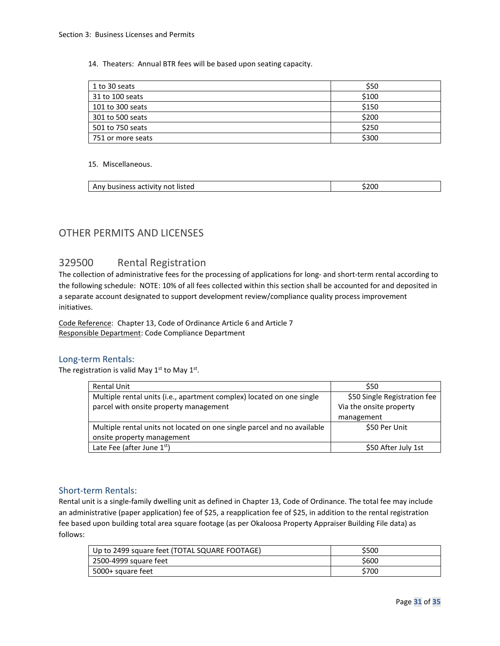14. Theaters: Annual BTR fees will be based upon seating capacity.

| 1 to 30 seats     | \$50  |
|-------------------|-------|
| 31 to 100 seats   | \$100 |
| 101 to 300 seats  | \$150 |
| 301 to 500 seats  | \$200 |
| 501 to 750 seats  | \$250 |
| 751 or more seats | \$300 |

#### 15. Miscellaneous.

| $\mathbf{a}$<br>listed<br>Anv<br>, nusines<br>TIVE<br>- 110 11<br>$\cdot$ v<br>$\sim$<br>,,<br>, ,, , | $\sim$ |
|-------------------------------------------------------------------------------------------------------|--------|
|                                                                                                       |        |

## <span id="page-30-0"></span>OTHER PERMITS AND LICENSES

## <span id="page-30-1"></span>329500 Rental Registration

The collection of administrative fees for the processing of applications for long- and short-term rental according to the following schedule: NOTE: 10% of all fees collected within this section shall be accounted for and deposited in a separate account designated to support development review/compliance quality process improvement initiatives.

Code Reference: Chapter 13, Code of Ordinance Article 6 and Article 7 Responsible Department: Code Compliance Department

## Long-term Rentals:

The registration is valid May  $1<sup>st</sup>$  to May  $1<sup>st</sup>$ .

| <b>Rental Unit</b>                                                      | \$50                         |
|-------------------------------------------------------------------------|------------------------------|
| Multiple rental units (i.e., apartment complex) located on one single   | \$50 Single Registration fee |
| parcel with onsite property management                                  | Via the onsite property      |
|                                                                         | management                   |
| Multiple rental units not located on one single parcel and no available | \$50 Per Unit                |
| onsite property management                                              |                              |
| Late Fee (after June $1st$ )                                            | \$50 After July 1st          |

## Short-term Rentals:

Rental unit is a single-family dwelling unit as defined in Chapter 13, Code of Ordinance. The total fee may include an administrative (paper application) fee of \$25, a reapplication fee of \$25, in addition to the rental registration fee based upon building total area square footage (as per Okaloosa Property Appraiser Building File data) as follows:

| Up to 2499 square feet (TOTAL SQUARE FOOTAGE) | \$500 |
|-----------------------------------------------|-------|
| 2500-4999 square feet                         | \$600 |
| 5000+ square feet                             | \$700 |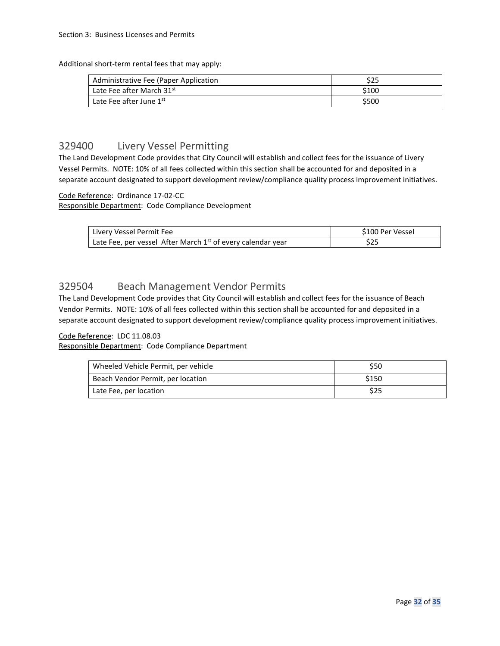Additional short-term rental fees that may apply:

| Administrative Fee (Paper Application | ぐっこ<br>כגכ |
|---------------------------------------|------------|
| Late Fee after March 31st             | \$100      |
| Late Fee after June 1st               | \$500      |

## <span id="page-31-0"></span>329400 Livery Vessel Permitting

The Land Development Code provides that City Council will establish and collect fees for the issuance of Livery Vessel Permits. NOTE: 10% of all fees collected within this section shall be accounted for and deposited in a separate account designated to support development review/compliance quality process improvement initiatives.

#### Code Reference: Ordinance 17-02-CC

Responsible Department: Code Compliance Development

| Livery Vessel Permit Fee                                      | \$100 Per Vessel |
|---------------------------------------------------------------|------------------|
| Late Fee, per vessel After March $1st$ of every calendar year | ن ے د            |

## <span id="page-31-1"></span>329504 Beach Management Vendor Permits

The Land Development Code provides that City Council will establish and collect fees for the issuance of Beach Vendor Permits. NOTE: 10% of all fees collected within this section shall be accounted for and deposited in a separate account designated to support development review/compliance quality process improvement initiatives.

### Code Reference: LDC 11.08.03

Responsible Department: Code Compliance Department

| Wheeled Vehicle Permit, per vehicle | \$50  |
|-------------------------------------|-------|
| Beach Vendor Permit, per location   | \$150 |
| Late Fee, per location              | \$25  |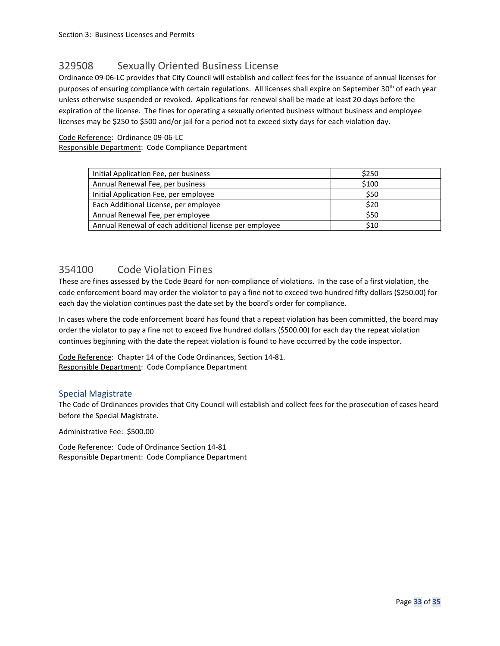## <span id="page-32-0"></span>329508 Sexually Oriented Business License

Ordinance 09-06-LC provides that City Council will establish and collect fees for the issuance of annual licenses for purposes of ensuring compliance with certain regulations. All licenses shall expire on September 30th of each year unless otherwise suspended or revoked. Applications for renewal shall be made at least 20 days before the expiration of the license. The fines for operating a sexually oriented business without business and employee licenses may be \$250 to \$500 and/or jail for a period not to exceed sixty days for each violation day.

#### Code Reference: Ordinance 09-06-LC

Responsible Department: Code Compliance Department

| Initial Application Fee, per business                  | \$250 |
|--------------------------------------------------------|-------|
| Annual Renewal Fee, per business                       | \$100 |
| Initial Application Fee, per employee                  | \$50  |
| Each Additional License, per employee                  | \$20  |
| Annual Renewal Fee, per employee                       | \$50  |
| Annual Renewal of each additional license per employee | \$10  |

## <span id="page-32-1"></span>354100 Code Violation Fines

These are fines assessed by the Code Board for non-compliance of violations. In the case of a first violation, the code enforcement board may order the violator to pay a fine not to exceed two hundred fifty dollars (\$250.00) for each day the violation continues past the date set by the board's order for compliance.

In cases where the code enforcement board has found that a repeat violation has been committed, the board may order the violator to pay a fine not to exceed five hundred dollars (\$500.00) for each day the repeat violation continues beginning with the date the repeat violation is found to have occurred by the code inspector.

Code Reference: Chapter 14 of the Code Ordinances, Section 14-81. Responsible Department: Code Compliance Department

#### Special Magistrate

The Code of Ordinances provides that City Council will establish and collect fees for the prosecution of cases heard before the Special Magistrate.

Administrative Fee: \$500.00

Code Reference: Code of Ordinance Section 14-81 Responsible Department: Code Compliance Department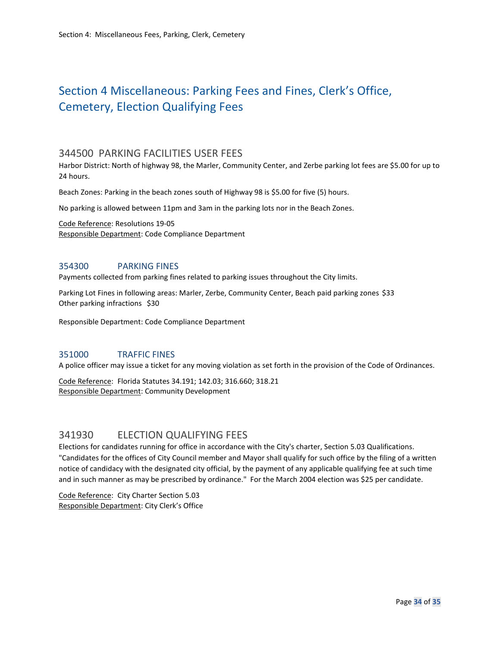## <span id="page-33-0"></span>Section 4 Miscellaneous: Parking Fees and Fines, Clerk's Office, Cemetery, Election Qualifying Fees

## <span id="page-33-1"></span>344500 PARKING FACILITIES USER FEES

Harbor District: North of highway 98, the Marler, Community Center, and Zerbe parking lot fees are \$5.00 for up to 24 hours.

Beach Zones: Parking in the beach zones south of Highway 98 is \$5.00 for five (5) hours.

No parking is allowed between 11pm and 3am in the parking lots nor in the Beach Zones.

Code Reference: Resolutions 19-05 Responsible Department: Code Compliance Department

## 354300 PARKING FINES

Payments collected from parking fines related to parking issues throughout the City limits.

Parking Lot Fines in following areas: Marler, Zerbe, Community Center, Beach paid parking zones \$33 Other parking infractions \$30

Responsible Department: Code Compliance Department

## 351000 TRAFFIC FINES

A police officer may issue a ticket for any moving violation as set forth in the provision of the Code of Ordinances.

Code Reference: Florida Statutes 34.191; 142.03; 316.660; 318.21 Responsible Department: Community Development

## <span id="page-33-2"></span>341930 ELECTION QUALIFYING FEES

Elections for candidates running for office in accordance with the City's charter, Section 5.03 Qualifications. "Candidates for the offices of City Council member and Mayor shall qualify for such office by the filing of a written notice of candidacy with the designated city official, by the payment of any applicable qualifying fee at such time and in such manner as may be prescribed by ordinance." For the March 2004 election was \$25 per candidate.

Code Reference: City Charter Section 5.03 Responsible Department: City Clerk's Office